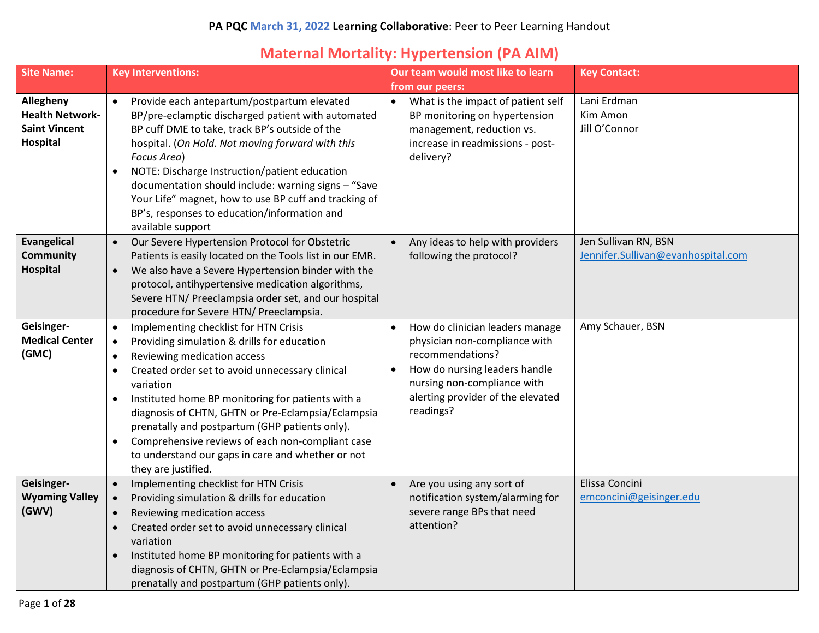#### **Maternal Mortality: Hypertension (PA AIM)**

| <b>Site Name:</b>                                                       | <b>Key Interventions:</b>                                                                                                                                                                                                                                                                                                                                                                                                                                                                                                                                      | Our team would most like to learn                                                                                                                                                                                                | <b>Key Contact:</b>                                        |
|-------------------------------------------------------------------------|----------------------------------------------------------------------------------------------------------------------------------------------------------------------------------------------------------------------------------------------------------------------------------------------------------------------------------------------------------------------------------------------------------------------------------------------------------------------------------------------------------------------------------------------------------------|----------------------------------------------------------------------------------------------------------------------------------------------------------------------------------------------------------------------------------|------------------------------------------------------------|
| Allegheny<br><b>Health Network-</b><br><b>Saint Vincent</b><br>Hospital | Provide each antepartum/postpartum elevated<br>$\bullet$<br>BP/pre-eclamptic discharged patient with automated<br>BP cuff DME to take, track BP's outside of the<br>hospital. (On Hold. Not moving forward with this<br>Focus Area)<br>NOTE: Discharge Instruction/patient education<br>$\bullet$<br>documentation should include: warning signs - "Save<br>Your Life" magnet, how to use BP cuff and tracking of<br>BP's, responses to education/information and<br>available support                                                                         | from our peers:<br>What is the impact of patient self<br>$\bullet$<br>BP monitoring on hypertension<br>management, reduction vs.<br>increase in readmissions - post-<br>delivery?                                                | Lani Erdman<br>Kim Amon<br>Jill O'Connor                   |
| <b>Evangelical</b><br><b>Community</b><br>Hospital                      | Our Severe Hypertension Protocol for Obstetric<br>$\bullet$<br>Patients is easily located on the Tools list in our EMR.<br>We also have a Severe Hypertension binder with the<br>$\bullet$<br>protocol, antihypertensive medication algorithms,<br>Severe HTN/ Preeclampsia order set, and our hospital<br>procedure for Severe HTN/ Preeclampsia.                                                                                                                                                                                                             | Any ideas to help with providers<br>$\bullet$<br>following the protocol?                                                                                                                                                         | Jen Sullivan RN, BSN<br>Jennifer.Sullivan@evanhospital.com |
| Geisinger-<br><b>Medical Center</b><br>(GMC)                            | Implementing checklist for HTN Crisis<br>$\bullet$<br>Providing simulation & drills for education<br>$\bullet$<br>Reviewing medication access<br>$\bullet$<br>Created order set to avoid unnecessary clinical<br>$\bullet$<br>variation<br>Instituted home BP monitoring for patients with a<br>$\bullet$<br>diagnosis of CHTN, GHTN or Pre-Eclampsia/Eclampsia<br>prenatally and postpartum (GHP patients only).<br>Comprehensive reviews of each non-compliant case<br>$\bullet$<br>to understand our gaps in care and whether or not<br>they are justified. | How do clinician leaders manage<br>$\bullet$<br>physician non-compliance with<br>recommendations?<br>How do nursing leaders handle<br>$\bullet$<br>nursing non-compliance with<br>alerting provider of the elevated<br>readings? | Amy Schauer, BSN                                           |
| Geisinger-<br><b>Wyoming Valley</b><br>(GWV)                            | Implementing checklist for HTN Crisis<br>$\bullet$<br>Providing simulation & drills for education<br>Reviewing medication access<br>$\bullet$<br>Created order set to avoid unnecessary clinical<br>$\bullet$<br>variation<br>Instituted home BP monitoring for patients with a<br>$\bullet$<br>diagnosis of CHTN, GHTN or Pre-Eclampsia/Eclampsia<br>prenatally and postpartum (GHP patients only).                                                                                                                                                           | Are you using any sort of<br>$\bullet$<br>notification system/alarming for<br>severe range BPs that need<br>attention?                                                                                                           | Elissa Concini<br>emconcini@geisinger.edu                  |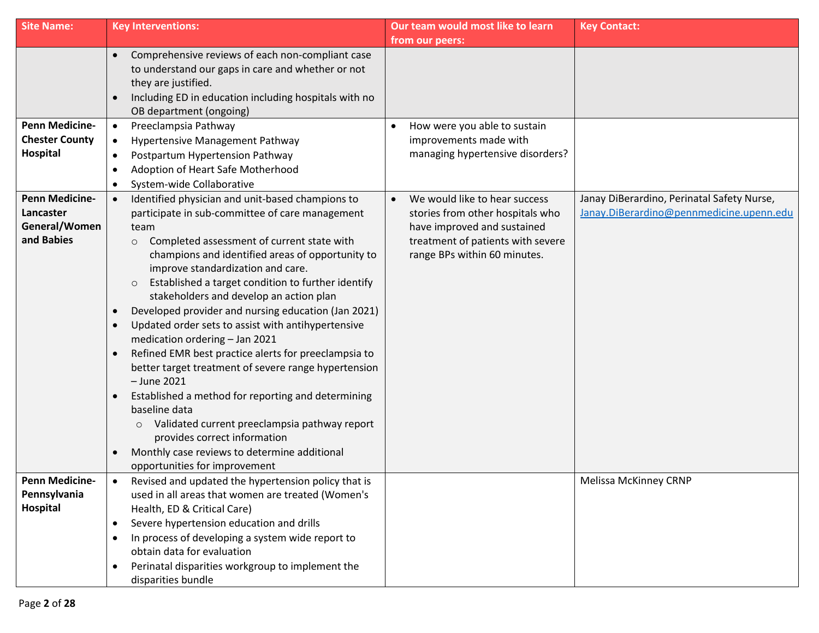| <b>Site Name:</b>                                                 | <b>Key Interventions:</b>                                                                                                                                                                                                                                                                                                                                                                                                                                                                                                                                                                                                                                                                                                                                                                                                                                                                                                                                                      | Our team would most like to learn<br>from our peers:                                                                                                                  | <b>Key Contact:</b>                                                                    |
|-------------------------------------------------------------------|--------------------------------------------------------------------------------------------------------------------------------------------------------------------------------------------------------------------------------------------------------------------------------------------------------------------------------------------------------------------------------------------------------------------------------------------------------------------------------------------------------------------------------------------------------------------------------------------------------------------------------------------------------------------------------------------------------------------------------------------------------------------------------------------------------------------------------------------------------------------------------------------------------------------------------------------------------------------------------|-----------------------------------------------------------------------------------------------------------------------------------------------------------------------|----------------------------------------------------------------------------------------|
|                                                                   | Comprehensive reviews of each non-compliant case<br>$\bullet$<br>to understand our gaps in care and whether or not<br>they are justified.<br>Including ED in education including hospitals with no<br>$\bullet$<br>OB department (ongoing)                                                                                                                                                                                                                                                                                                                                                                                                                                                                                                                                                                                                                                                                                                                                     |                                                                                                                                                                       |                                                                                        |
| <b>Penn Medicine-</b><br><b>Chester County</b><br>Hospital        | Preeclampsia Pathway<br>$\bullet$<br>Hypertensive Management Pathway<br>$\bullet$<br>Postpartum Hypertension Pathway<br>$\bullet$<br>Adoption of Heart Safe Motherhood<br>$\bullet$<br>System-wide Collaborative<br>$\bullet$                                                                                                                                                                                                                                                                                                                                                                                                                                                                                                                                                                                                                                                                                                                                                  | How were you able to sustain<br>improvements made with<br>managing hypertensive disorders?                                                                            |                                                                                        |
| <b>Penn Medicine-</b><br>Lancaster<br>General/Women<br>and Babies | Identified physician and unit-based champions to<br>$\bullet$<br>participate in sub-committee of care management<br>team<br>Completed assessment of current state with<br>$\circ$<br>champions and identified areas of opportunity to<br>improve standardization and care.<br>Established a target condition to further identify<br>$\circ$<br>stakeholders and develop an action plan<br>Developed provider and nursing education (Jan 2021)<br>$\bullet$<br>Updated order sets to assist with antihypertensive<br>$\bullet$<br>medication ordering - Jan 2021<br>Refined EMR best practice alerts for preeclampsia to<br>better target treatment of severe range hypertension<br>$-$ June 2021<br>Established a method for reporting and determining<br>$\bullet$<br>baseline data<br>Validated current preeclampsia pathway report<br>$\circ$<br>provides correct information<br>Monthly case reviews to determine additional<br>$\bullet$<br>opportunities for improvement | We would like to hear success<br>stories from other hospitals who<br>have improved and sustained<br>treatment of patients with severe<br>range BPs within 60 minutes. | Janay DiBerardino, Perinatal Safety Nurse,<br>Janay.DiBerardino@pennmedicine.upenn.edu |
| <b>Penn Medicine-</b><br>Pennsylvania<br>Hospital                 | Revised and updated the hypertension policy that is<br>used in all areas that women are treated (Women's<br>Health, ED & Critical Care)<br>Severe hypertension education and drills<br>$\bullet$<br>In process of developing a system wide report to<br>$\bullet$<br>obtain data for evaluation<br>Perinatal disparities workgroup to implement the<br>$\bullet$<br>disparities bundle                                                                                                                                                                                                                                                                                                                                                                                                                                                                                                                                                                                         |                                                                                                                                                                       | <b>Melissa McKinney CRNP</b>                                                           |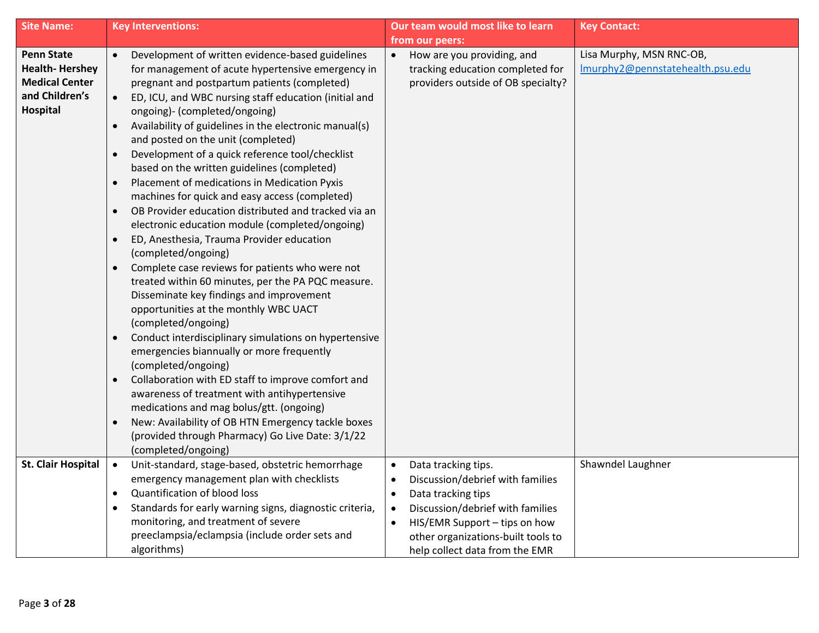| <b>Site Name:</b>                                                                                 | <b>Key Interventions:</b>                                                                                                                                                                                                                                                                                                                                                                                                                                                                                                                                                                                                                                                                                                                                                                                                                                                                                                                                                                                                                                                                                                                                                                                                                                                                                                                                                                                                                   | Our team would most like to learn                                                                                                                                                                                                                                                           | <b>Key Contact:</b>                                          |
|---------------------------------------------------------------------------------------------------|---------------------------------------------------------------------------------------------------------------------------------------------------------------------------------------------------------------------------------------------------------------------------------------------------------------------------------------------------------------------------------------------------------------------------------------------------------------------------------------------------------------------------------------------------------------------------------------------------------------------------------------------------------------------------------------------------------------------------------------------------------------------------------------------------------------------------------------------------------------------------------------------------------------------------------------------------------------------------------------------------------------------------------------------------------------------------------------------------------------------------------------------------------------------------------------------------------------------------------------------------------------------------------------------------------------------------------------------------------------------------------------------------------------------------------------------|---------------------------------------------------------------------------------------------------------------------------------------------------------------------------------------------------------------------------------------------------------------------------------------------|--------------------------------------------------------------|
|                                                                                                   |                                                                                                                                                                                                                                                                                                                                                                                                                                                                                                                                                                                                                                                                                                                                                                                                                                                                                                                                                                                                                                                                                                                                                                                                                                                                                                                                                                                                                                             | from our peers:                                                                                                                                                                                                                                                                             |                                                              |
| <b>Penn State</b><br><b>Health-Hershey</b><br><b>Medical Center</b><br>and Children's<br>Hospital | Development of written evidence-based guidelines<br>for management of acute hypertensive emergency in<br>pregnant and postpartum patients (completed)<br>ED, ICU, and WBC nursing staff education (initial and<br>ongoing)- (completed/ongoing)<br>Availability of guidelines in the electronic manual(s)<br>and posted on the unit (completed)<br>Development of a quick reference tool/checklist<br>based on the written guidelines (completed)<br>Placement of medications in Medication Pyxis<br>$\bullet$<br>machines for quick and easy access (completed)<br>OB Provider education distributed and tracked via an<br>$\bullet$<br>electronic education module (completed/ongoing)<br>ED, Anesthesia, Trauma Provider education<br>$\bullet$<br>(completed/ongoing)<br>Complete case reviews for patients who were not<br>$\bullet$<br>treated within 60 minutes, per the PA PQC measure.<br>Disseminate key findings and improvement<br>opportunities at the monthly WBC UACT<br>(completed/ongoing)<br>Conduct interdisciplinary simulations on hypertensive<br>$\bullet$<br>emergencies biannually or more frequently<br>(completed/ongoing)<br>Collaboration with ED staff to improve comfort and<br>$\bullet$<br>awareness of treatment with antihypertensive<br>medications and mag bolus/gtt. (ongoing)<br>New: Availability of OB HTN Emergency tackle boxes<br>$\bullet$<br>(provided through Pharmacy) Go Live Date: 3/1/22 | How are you providing, and<br>$\bullet$<br>tracking education completed for<br>providers outside of OB specialty?                                                                                                                                                                           | Lisa Murphy, MSN RNC-OB,<br>Imurphy2@pennstatehealth.psu.edu |
|                                                                                                   | (completed/ongoing)                                                                                                                                                                                                                                                                                                                                                                                                                                                                                                                                                                                                                                                                                                                                                                                                                                                                                                                                                                                                                                                                                                                                                                                                                                                                                                                                                                                                                         |                                                                                                                                                                                                                                                                                             |                                                              |
| <b>St. Clair Hospital</b>                                                                         | Unit-standard, stage-based, obstetric hemorrhage<br>$\bullet$<br>emergency management plan with checklists<br>Quantification of blood loss<br>$\bullet$<br>Standards for early warning signs, diagnostic criteria,<br>monitoring, and treatment of severe<br>preeclampsia/eclampsia (include order sets and<br>algorithms)                                                                                                                                                                                                                                                                                                                                                                                                                                                                                                                                                                                                                                                                                                                                                                                                                                                                                                                                                                                                                                                                                                                  | Data tracking tips.<br>$\bullet$<br>Discussion/debrief with families<br>$\bullet$<br>Data tracking tips<br>$\bullet$<br>Discussion/debrief with families<br>$\bullet$<br>HIS/EMR Support - tips on how<br>$\bullet$<br>other organizations-built tools to<br>help collect data from the EMR | Shawndel Laughner                                            |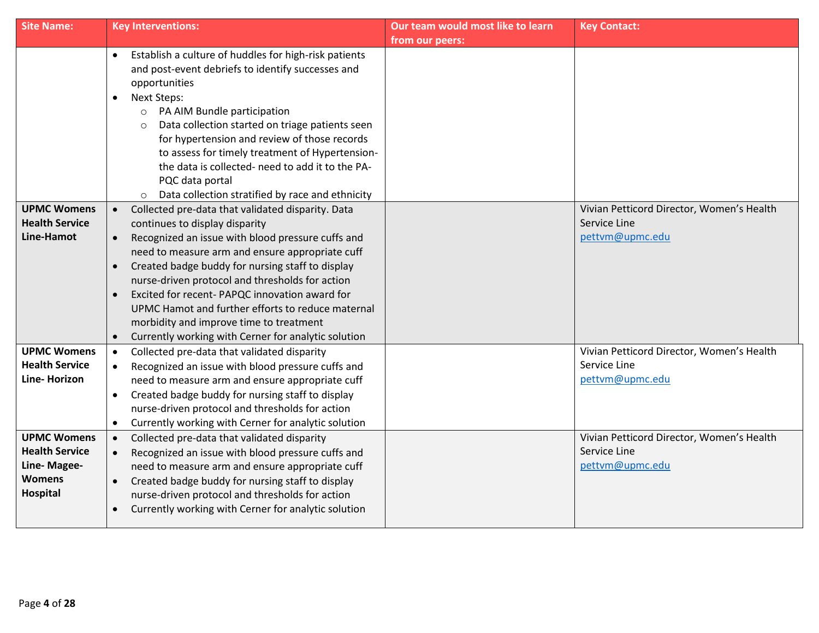| <b>Site Name:</b>     | <b>Key Interventions:</b>                                                                                  | Our team would most like to learn | <b>Key Contact:</b>                                       |
|-----------------------|------------------------------------------------------------------------------------------------------------|-----------------------------------|-----------------------------------------------------------|
|                       |                                                                                                            | from our peers:                   |                                                           |
|                       | Establish a culture of huddles for high-risk patients                                                      |                                   |                                                           |
|                       | and post-event debriefs to identify successes and                                                          |                                   |                                                           |
|                       | opportunities                                                                                              |                                   |                                                           |
|                       | <b>Next Steps:</b><br>$\bullet$                                                                            |                                   |                                                           |
|                       | PA AIM Bundle participation<br>$\circ$                                                                     |                                   |                                                           |
|                       | Data collection started on triage patients seen<br>$\circ$<br>for hypertension and review of those records |                                   |                                                           |
|                       | to assess for timely treatment of Hypertension-                                                            |                                   |                                                           |
|                       | the data is collected- need to add it to the PA-                                                           |                                   |                                                           |
|                       | PQC data portal                                                                                            |                                   |                                                           |
|                       | Data collection stratified by race and ethnicity                                                           |                                   |                                                           |
| <b>UPMC Womens</b>    | Collected pre-data that validated disparity. Data                                                          |                                   | Vivian Petticord Director, Women's Health                 |
| <b>Health Service</b> | continues to display disparity                                                                             |                                   | Service Line                                              |
| <b>Line-Hamot</b>     | Recognized an issue with blood pressure cuffs and<br>$\bullet$                                             |                                   | pettvm@upmc.edu                                           |
|                       | need to measure arm and ensure appropriate cuff                                                            |                                   |                                                           |
|                       | Created badge buddy for nursing staff to display<br>$\bullet$                                              |                                   |                                                           |
|                       | nurse-driven protocol and thresholds for action                                                            |                                   |                                                           |
|                       | Excited for recent- PAPQC innovation award for                                                             |                                   |                                                           |
|                       | UPMC Hamot and further efforts to reduce maternal                                                          |                                   |                                                           |
|                       | morbidity and improve time to treatment                                                                    |                                   |                                                           |
|                       | Currently working with Cerner for analytic solution                                                        |                                   |                                                           |
| <b>UPMC Womens</b>    | Collected pre-data that validated disparity<br>$\bullet$                                                   |                                   | Vivian Petticord Director, Women's Health                 |
| <b>Health Service</b> | Recognized an issue with blood pressure cuffs and                                                          |                                   | Service Line                                              |
| Line-Horizon          | need to measure arm and ensure appropriate cuff                                                            |                                   | pettvm@upmc.edu                                           |
|                       | Created badge buddy for nursing staff to display<br>$\bullet$                                              |                                   |                                                           |
|                       | nurse-driven protocol and thresholds for action                                                            |                                   |                                                           |
| <b>UPMC Womens</b>    | Currently working with Cerner for analytic solution<br>$\bullet$                                           |                                   |                                                           |
| <b>Health Service</b> | Collected pre-data that validated disparity<br>$\bullet$                                                   |                                   | Vivian Petticord Director, Women's Health<br>Service Line |
| Line-Magee-           | Recognized an issue with blood pressure cuffs and<br>need to measure arm and ensure appropriate cuff       |                                   | pettym@upmc.edu                                           |
| <b>Womens</b>         | Created badge buddy for nursing staff to display                                                           |                                   |                                                           |
| Hospital              | $\bullet$<br>nurse-driven protocol and thresholds for action                                               |                                   |                                                           |
|                       | Currently working with Cerner for analytic solution<br>$\bullet$                                           |                                   |                                                           |
|                       |                                                                                                            |                                   |                                                           |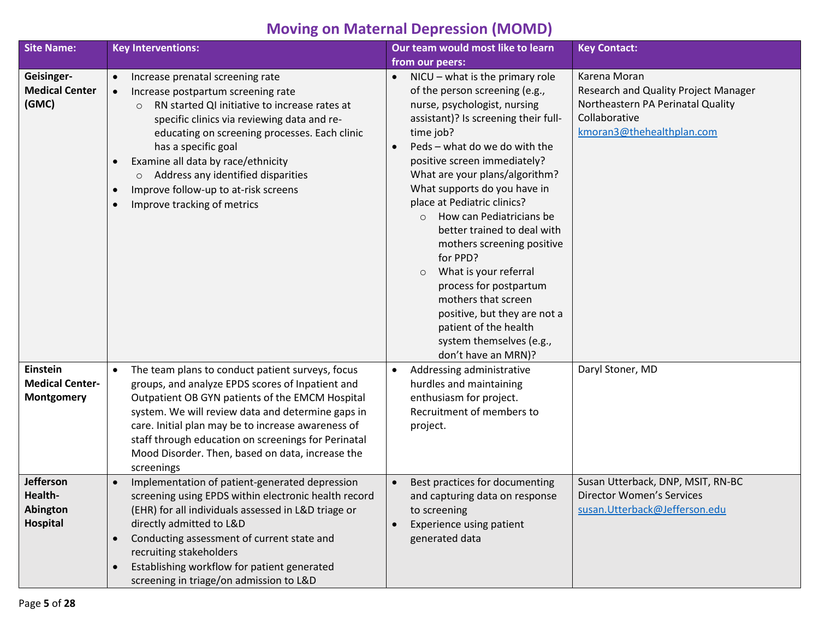# **Moving on Maternal Depression (MOMD)**

| <b>Site Name:</b>                                       | <b>Key Interventions:</b>                                                                                                                                                                                                                                                                                                                                                                                                                         | Our team would most like to learn                                                                                                                                                                                                                                                                                                                                                                                                                                                                                                                                                                                                            | <b>Key Contact:</b>                                                                                                                     |
|---------------------------------------------------------|---------------------------------------------------------------------------------------------------------------------------------------------------------------------------------------------------------------------------------------------------------------------------------------------------------------------------------------------------------------------------------------------------------------------------------------------------|----------------------------------------------------------------------------------------------------------------------------------------------------------------------------------------------------------------------------------------------------------------------------------------------------------------------------------------------------------------------------------------------------------------------------------------------------------------------------------------------------------------------------------------------------------------------------------------------------------------------------------------------|-----------------------------------------------------------------------------------------------------------------------------------------|
|                                                         |                                                                                                                                                                                                                                                                                                                                                                                                                                                   | from our peers:                                                                                                                                                                                                                                                                                                                                                                                                                                                                                                                                                                                                                              |                                                                                                                                         |
| Geisinger-<br><b>Medical Center</b><br>(GMC)            | Increase prenatal screening rate<br>$\bullet$<br>Increase postpartum screening rate<br>$\bullet$<br>RN started QI initiative to increase rates at<br>$\circ$<br>specific clinics via reviewing data and re-<br>educating on screening processes. Each clinic<br>has a specific goal<br>Examine all data by race/ethnicity<br>Address any identified disparities<br>$\circ$<br>Improve follow-up to at-risk screens<br>Improve tracking of metrics | $NICU - what$ is the primary role<br>of the person screening (e.g.,<br>nurse, psychologist, nursing<br>assistant)? Is screening their full-<br>time job?<br>Peds - what do we do with the<br>positive screen immediately?<br>What are your plans/algorithm?<br>What supports do you have in<br>place at Pediatric clinics?<br>How can Pediatricians be<br>$\Omega$<br>better trained to deal with<br>mothers screening positive<br>for PPD?<br>What is your referral<br>$\circ$<br>process for postpartum<br>mothers that screen<br>positive, but they are not a<br>patient of the health<br>system themselves (e.g.,<br>don't have an MRN)? | Karena Moran<br>Research and Quality Project Manager<br>Northeastern PA Perinatal Quality<br>Collaborative<br>kmoran3@thehealthplan.com |
| Einstein<br><b>Medical Center-</b><br><b>Montgomery</b> | The team plans to conduct patient surveys, focus<br>$\bullet$<br>groups, and analyze EPDS scores of Inpatient and<br>Outpatient OB GYN patients of the EMCM Hospital<br>system. We will review data and determine gaps in<br>care. Initial plan may be to increase awareness of<br>staff through education on screenings for Perinatal<br>Mood Disorder. Then, based on data, increase the<br>screenings                                          | Addressing administrative<br>hurdles and maintaining<br>enthusiasm for project.<br>Recruitment of members to<br>project.                                                                                                                                                                                                                                                                                                                                                                                                                                                                                                                     | Daryl Stoner, MD                                                                                                                        |
| Jefferson<br>Health-<br>Abington<br>Hospital            | Implementation of patient-generated depression<br>screening using EPDS within electronic health record<br>(EHR) for all individuals assessed in L&D triage or<br>directly admitted to L&D<br>Conducting assessment of current state and<br>recruiting stakeholders<br>Establishing workflow for patient generated<br>screening in triage/on admission to L&D                                                                                      | Best practices for documenting<br>and capturing data on response<br>to screening<br>Experience using patient<br>generated data                                                                                                                                                                                                                                                                                                                                                                                                                                                                                                               | Susan Utterback, DNP, MSIT, RN-BC<br><b>Director Women's Services</b><br>susan.Utterback@Jefferson.edu                                  |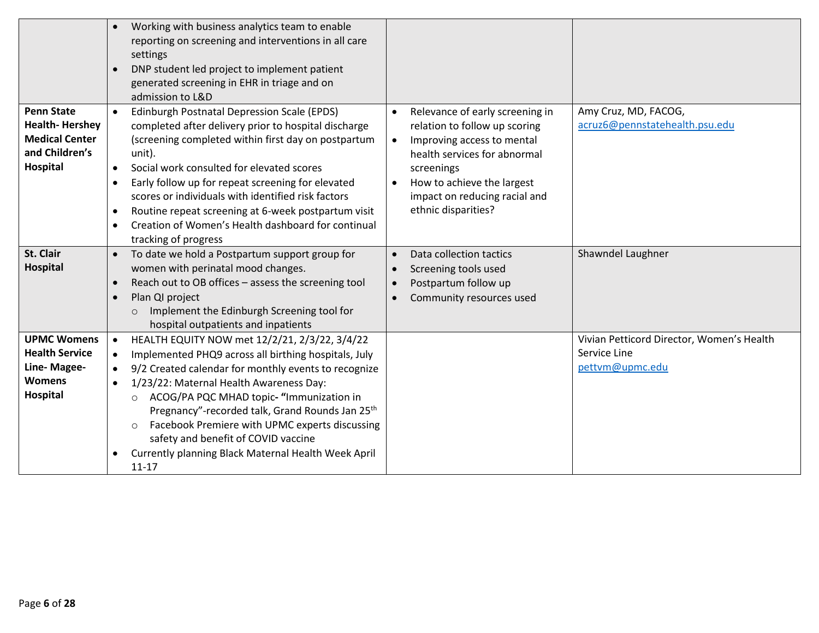|                                                                                                   | Working with business analytics team to enable<br>$\bullet$<br>reporting on screening and interventions in all care<br>settings<br>DNP student led project to implement patient<br>$\bullet$<br>generated screening in EHR in triage and on<br>admission to L&D                                                                                                                                                                                                                                                                                            |                                                                                                                                                                                                                                                                           |                                                                              |
|---------------------------------------------------------------------------------------------------|------------------------------------------------------------------------------------------------------------------------------------------------------------------------------------------------------------------------------------------------------------------------------------------------------------------------------------------------------------------------------------------------------------------------------------------------------------------------------------------------------------------------------------------------------------|---------------------------------------------------------------------------------------------------------------------------------------------------------------------------------------------------------------------------------------------------------------------------|------------------------------------------------------------------------------|
| <b>Penn State</b><br><b>Health-Hershey</b><br><b>Medical Center</b><br>and Children's<br>Hospital | Edinburgh Postnatal Depression Scale (EPDS)<br>completed after delivery prior to hospital discharge<br>(screening completed within first day on postpartum<br>unit).<br>Social work consulted for elevated scores<br>$\bullet$<br>Early follow up for repeat screening for elevated<br>$\bullet$<br>scores or individuals with identified risk factors<br>Routine repeat screening at 6-week postpartum visit<br>$\bullet$<br>Creation of Women's Health dashboard for continual<br>$\bullet$<br>tracking of progress                                      | Relevance of early screening in<br>$\bullet$<br>relation to follow up scoring<br>Improving access to mental<br>$\bullet$<br>health services for abnormal<br>screenings<br>How to achieve the largest<br>$\bullet$<br>impact on reducing racial and<br>ethnic disparities? | Amy Cruz, MD, FACOG,<br>acruz6@pennstatehealth.psu.edu                       |
| St. Clair<br>Hospital                                                                             | To date we hold a Postpartum support group for<br>$\bullet$<br>women with perinatal mood changes.<br>Reach out to OB offices - assess the screening tool<br>$\bullet$<br>Plan QI project<br>$\bullet$<br>Implement the Edinburgh Screening tool for<br>$\circ$<br>hospital outpatients and inpatients                                                                                                                                                                                                                                                      | Data collection tactics<br>$\bullet$<br>Screening tools used<br>Postpartum follow up<br>$\bullet$<br>Community resources used                                                                                                                                             | Shawndel Laughner                                                            |
| <b>UPMC Womens</b><br><b>Health Service</b><br>Line-Magee-<br><b>Womens</b><br>Hospital           | HEALTH EQUITY NOW met 12/2/21, 2/3/22, 3/4/22<br>$\bullet$<br>Implemented PHQ9 across all birthing hospitals, July<br>$\bullet$<br>9/2 Created calendar for monthly events to recognize<br>$\bullet$<br>1/23/22: Maternal Health Awareness Day:<br>$\bullet$<br>ACOG/PA PQC MHAD topic- "Immunization in<br>$\circ$<br>Pregnancy"-recorded talk, Grand Rounds Jan 25 <sup>th</sup><br>Facebook Premiere with UPMC experts discussing<br>$\circ$<br>safety and benefit of COVID vaccine<br>Currently planning Black Maternal Health Week April<br>$11 - 17$ |                                                                                                                                                                                                                                                                           | Vivian Petticord Director, Women's Health<br>Service Line<br>pettvm@upmc.edu |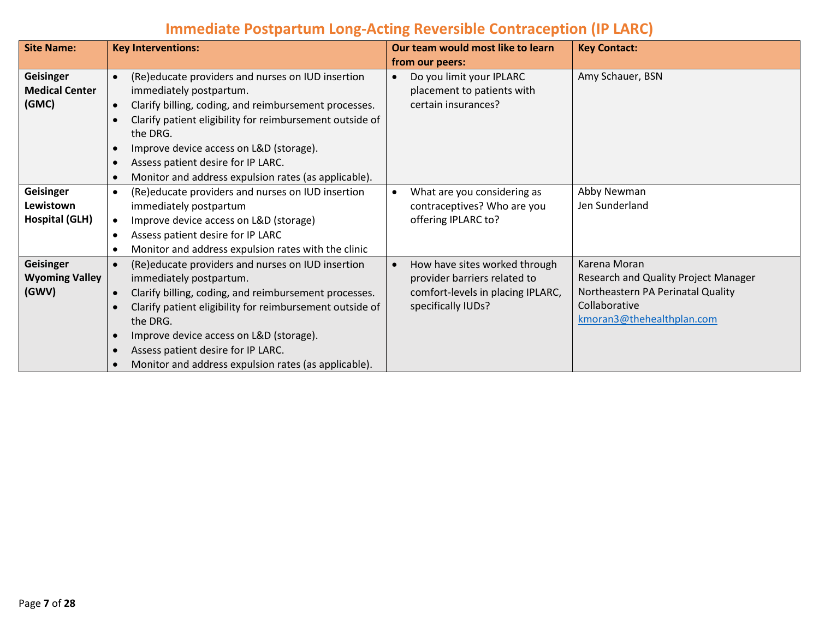## **Immediate Postpartum Long-Acting Reversible Contraception (IP LARC)**

| <b>Site Name:</b>     |           | <b>Key Interventions:</b>                                |           | Our team would most like to learn | <b>Key Contact:</b>                  |
|-----------------------|-----------|----------------------------------------------------------|-----------|-----------------------------------|--------------------------------------|
|                       |           |                                                          |           | from our peers:                   |                                      |
| <b>Geisinger</b>      | $\bullet$ | (Re)educate providers and nurses on IUD insertion        |           | Do you limit your IPLARC          | Amy Schauer, BSN                     |
| <b>Medical Center</b> |           | immediately postpartum.                                  |           | placement to patients with        |                                      |
| (GMC)                 |           | Clarify billing, coding, and reimbursement processes.    |           | certain insurances?               |                                      |
|                       |           | Clarify patient eligibility for reimbursement outside of |           |                                   |                                      |
|                       |           | the DRG.                                                 |           |                                   |                                      |
|                       |           | Improve device access on L&D (storage).                  |           |                                   |                                      |
|                       |           | Assess patient desire for IP LARC.                       |           |                                   |                                      |
|                       |           | Monitor and address expulsion rates (as applicable).     |           |                                   |                                      |
| <b>Geisinger</b>      | $\bullet$ | (Re)educate providers and nurses on IUD insertion        | $\bullet$ | What are you considering as       | Abby Newman                          |
| Lewistown             |           | immediately postpartum                                   |           | contraceptives? Who are you       | Jen Sunderland                       |
| <b>Hospital (GLH)</b> | $\bullet$ | Improve device access on L&D (storage)                   |           | offering IPLARC to?               |                                      |
|                       |           | Assess patient desire for IP LARC                        |           |                                   |                                      |
|                       |           | Monitor and address expulsion rates with the clinic      |           |                                   |                                      |
| <b>Geisinger</b>      | $\bullet$ | (Re)educate providers and nurses on IUD insertion        |           | How have sites worked through     | Karena Moran                         |
| <b>Wyoming Valley</b> |           | immediately postpartum.                                  |           | provider barriers related to      | Research and Quality Project Manager |
| (GWV)                 |           | Clarify billing, coding, and reimbursement processes.    |           | comfort-levels in placing IPLARC, | Northeastern PA Perinatal Quality    |
|                       |           | Clarify patient eligibility for reimbursement outside of |           | specifically IUDs?                | Collaborative                        |
|                       |           | the DRG.                                                 |           |                                   | kmoran3@thehealthplan.com            |
|                       |           | Improve device access on L&D (storage).                  |           |                                   |                                      |
|                       |           | Assess patient desire for IP LARC.                       |           |                                   |                                      |
|                       |           | Monitor and address expulsion rates (as applicable).     |           |                                   |                                      |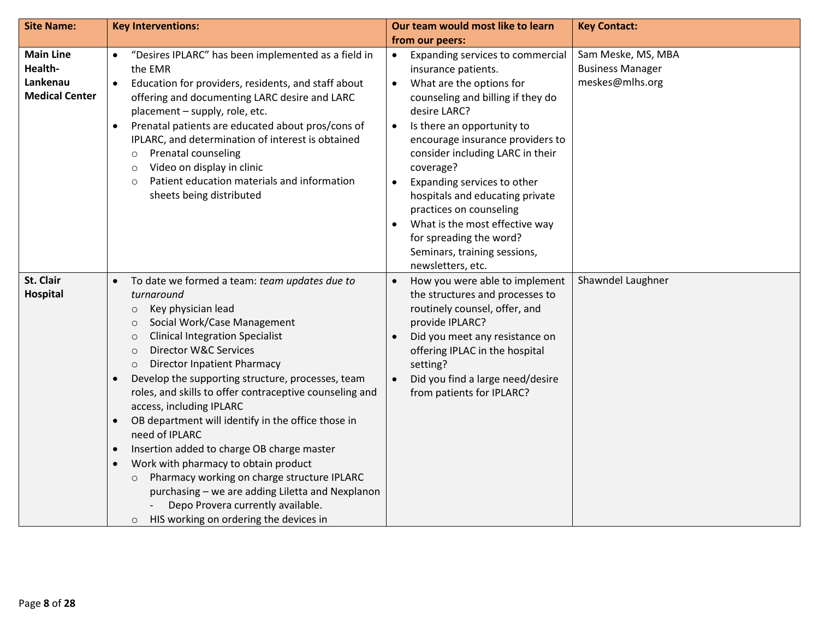| <b>Site Name:</b>                                                | <b>Key Interventions:</b>                                                                                                                                                                                                                                                                                                                                                                                                                                                                                                                                                                                                                                                                                                                                                                                                    | Our team would most like to learn                                                                                                                                                                                                                                                                                                                                                                                                                                                                                              | <b>Key Contact:</b>                                              |
|------------------------------------------------------------------|------------------------------------------------------------------------------------------------------------------------------------------------------------------------------------------------------------------------------------------------------------------------------------------------------------------------------------------------------------------------------------------------------------------------------------------------------------------------------------------------------------------------------------------------------------------------------------------------------------------------------------------------------------------------------------------------------------------------------------------------------------------------------------------------------------------------------|--------------------------------------------------------------------------------------------------------------------------------------------------------------------------------------------------------------------------------------------------------------------------------------------------------------------------------------------------------------------------------------------------------------------------------------------------------------------------------------------------------------------------------|------------------------------------------------------------------|
|                                                                  |                                                                                                                                                                                                                                                                                                                                                                                                                                                                                                                                                                                                                                                                                                                                                                                                                              | from our peers:                                                                                                                                                                                                                                                                                                                                                                                                                                                                                                                |                                                                  |
| <b>Main Line</b><br>Health-<br>Lankenau<br><b>Medical Center</b> | "Desires IPLARC" has been implemented as a field in<br>the EMR<br>Education for providers, residents, and staff about<br>$\bullet$<br>offering and documenting LARC desire and LARC<br>placement - supply, role, etc.<br>Prenatal patients are educated about pros/cons of<br>IPLARC, and determination of interest is obtained<br>Prenatal counseling<br>$\circ$<br>Video on display in clinic<br>$\circ$<br>Patient education materials and information<br>$\circ$<br>sheets being distributed                                                                                                                                                                                                                                                                                                                             | Expanding services to commercial<br>$\bullet$<br>insurance patients.<br>What are the options for<br>$\bullet$<br>counseling and billing if they do<br>desire LARC?<br>Is there an opportunity to<br>$\bullet$<br>encourage insurance providers to<br>consider including LARC in their<br>coverage?<br>Expanding services to other<br>$\bullet$<br>hospitals and educating private<br>practices on counseling<br>What is the most effective way<br>for spreading the word?<br>Seminars, training sessions,<br>newsletters, etc. | Sam Meske, MS, MBA<br><b>Business Manager</b><br>meskes@mlhs.org |
| St. Clair<br>Hospital                                            | To date we formed a team: team updates due to<br>$\bullet$<br>turnaround<br>Key physician lead<br>$\circ$<br>Social Work/Case Management<br>$\circ$<br><b>Clinical Integration Specialist</b><br>$\circ$<br>Director W&C Services<br>$\circ$<br><b>Director Inpatient Pharmacy</b><br>$\circ$<br>Develop the supporting structure, processes, team<br>roles, and skills to offer contraceptive counseling and<br>access, including IPLARC<br>OB department will identify in the office those in<br>$\bullet$<br>need of IPLARC<br>Insertion added to charge OB charge master<br>Work with pharmacy to obtain product<br>Pharmacy working on charge structure IPLARC<br>$\circ$<br>purchasing - we are adding Liletta and Nexplanon<br>Depo Provera currently available.<br>HIS working on ordering the devices in<br>$\circ$ | How you were able to implement<br>$\bullet$<br>the structures and processes to<br>routinely counsel, offer, and<br>provide IPLARC?<br>Did you meet any resistance on<br>offering IPLAC in the hospital<br>setting?<br>Did you find a large need/desire<br>$\bullet$<br>from patients for IPLARC?                                                                                                                                                                                                                               | Shawndel Laughner                                                |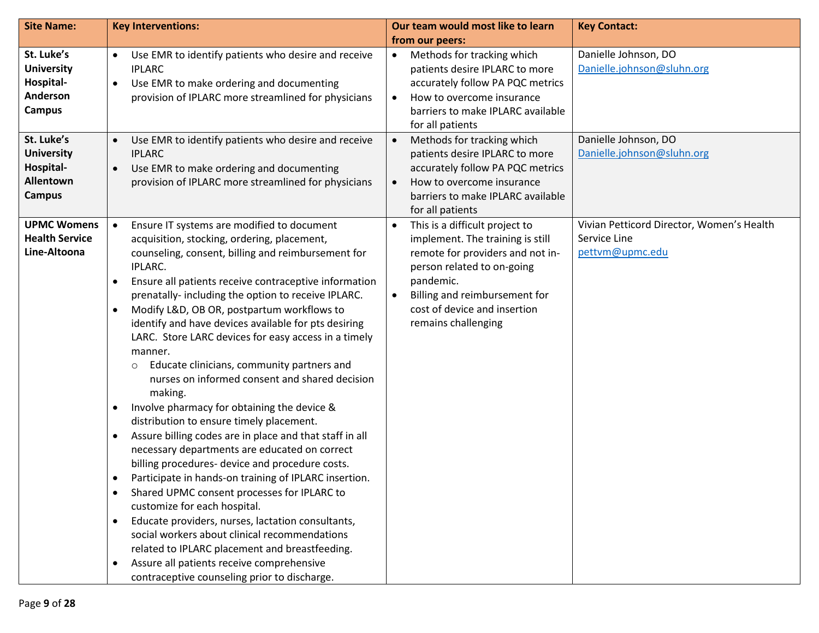| <b>Site Name:</b>                                                          | <b>Key Interventions:</b>                                                                                                                                                                                                                                                                                                                                                                                                                                                                                                                                                                                                                                                                                                                                                                                                                                                                                                                                                                                                                                                                                                                                                                                                                               | Our team would most like to learn                                                                                                                                                                                                                                   | <b>Key Contact:</b>                                                          |
|----------------------------------------------------------------------------|---------------------------------------------------------------------------------------------------------------------------------------------------------------------------------------------------------------------------------------------------------------------------------------------------------------------------------------------------------------------------------------------------------------------------------------------------------------------------------------------------------------------------------------------------------------------------------------------------------------------------------------------------------------------------------------------------------------------------------------------------------------------------------------------------------------------------------------------------------------------------------------------------------------------------------------------------------------------------------------------------------------------------------------------------------------------------------------------------------------------------------------------------------------------------------------------------------------------------------------------------------|---------------------------------------------------------------------------------------------------------------------------------------------------------------------------------------------------------------------------------------------------------------------|------------------------------------------------------------------------------|
|                                                                            |                                                                                                                                                                                                                                                                                                                                                                                                                                                                                                                                                                                                                                                                                                                                                                                                                                                                                                                                                                                                                                                                                                                                                                                                                                                         | from our peers:                                                                                                                                                                                                                                                     |                                                                              |
| St. Luke's<br><b>University</b><br>Hospital-<br>Anderson<br><b>Campus</b>  | Use EMR to identify patients who desire and receive<br>$\bullet$<br><b>IPLARC</b><br>Use EMR to make ordering and documenting<br>$\bullet$<br>provision of IPLARC more streamlined for physicians                                                                                                                                                                                                                                                                                                                                                                                                                                                                                                                                                                                                                                                                                                                                                                                                                                                                                                                                                                                                                                                       | Methods for tracking which<br>$\bullet$<br>patients desire IPLARC to more<br>accurately follow PA PQC metrics<br>How to overcome insurance<br>$\bullet$<br>barriers to make IPLARC available<br>for all patients                                                    | Danielle Johnson, DO<br>Danielle.johnson@sluhn.org                           |
| St. Luke's<br><b>University</b><br>Hospital-<br>Allentown<br><b>Campus</b> | Use EMR to identify patients who desire and receive<br>$\bullet$<br><b>IPLARC</b><br>Use EMR to make ordering and documenting<br>$\bullet$<br>provision of IPLARC more streamlined for physicians                                                                                                                                                                                                                                                                                                                                                                                                                                                                                                                                                                                                                                                                                                                                                                                                                                                                                                                                                                                                                                                       | Methods for tracking which<br>$\bullet$<br>patients desire IPLARC to more<br>accurately follow PA PQC metrics<br>How to overcome insurance<br>$\bullet$<br>barriers to make IPLARC available<br>for all patients                                                    | Danielle Johnson, DO<br>Danielle.johnson@sluhn.org                           |
| <b>UPMC Womens</b><br><b>Health Service</b><br>Line-Altoona                | Ensure IT systems are modified to document<br>acquisition, stocking, ordering, placement,<br>counseling, consent, billing and reimbursement for<br>IPLARC.<br>Ensure all patients receive contraceptive information<br>prenatally- including the option to receive IPLARC.<br>Modify L&D, OB OR, postpartum workflows to<br>identify and have devices available for pts desiring<br>LARC. Store LARC devices for easy access in a timely<br>manner.<br>Educate clinicians, community partners and<br>$\circ$<br>nurses on informed consent and shared decision<br>making.<br>Involve pharmacy for obtaining the device &<br>٠<br>distribution to ensure timely placement.<br>Assure billing codes are in place and that staff in all<br>٠<br>necessary departments are educated on correct<br>billing procedures- device and procedure costs.<br>Participate in hands-on training of IPLARC insertion.<br>Shared UPMC consent processes for IPLARC to<br>customize for each hospital.<br>Educate providers, nurses, lactation consultants,<br>social workers about clinical recommendations<br>related to IPLARC placement and breastfeeding.<br>Assure all patients receive comprehensive<br>$\bullet$<br>contraceptive counseling prior to discharge. | This is a difficult project to<br>$\bullet$<br>implement. The training is still<br>remote for providers and not in-<br>person related to on-going<br>pandemic.<br>Billing and reimbursement for<br>$\bullet$<br>cost of device and insertion<br>remains challenging | Vivian Petticord Director, Women's Health<br>Service Line<br>pettvm@upmc.edu |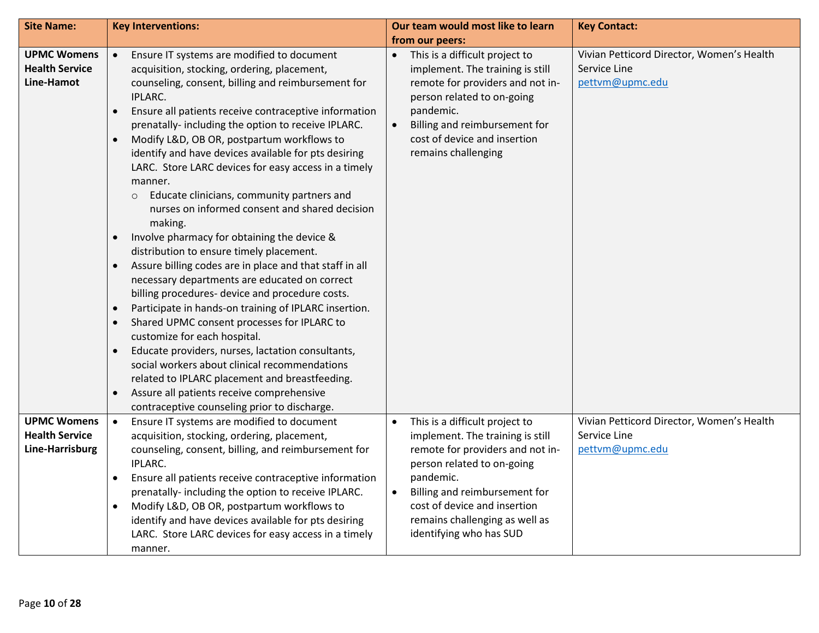| <b>Site Name:</b>                                              | <b>Key Interventions:</b>                                                                                                                                                                                                                                                                                                                                                                                                                                                                                                                                                                                                                                                                                                                                                                                                                                                                                                                                                                                                                                                                                                                                                                                                                                                                                      | Our team would most like to learn                                                                                                                                                                                                                                                                         | <b>Key Contact:</b>                                                          |
|----------------------------------------------------------------|----------------------------------------------------------------------------------------------------------------------------------------------------------------------------------------------------------------------------------------------------------------------------------------------------------------------------------------------------------------------------------------------------------------------------------------------------------------------------------------------------------------------------------------------------------------------------------------------------------------------------------------------------------------------------------------------------------------------------------------------------------------------------------------------------------------------------------------------------------------------------------------------------------------------------------------------------------------------------------------------------------------------------------------------------------------------------------------------------------------------------------------------------------------------------------------------------------------------------------------------------------------------------------------------------------------|-----------------------------------------------------------------------------------------------------------------------------------------------------------------------------------------------------------------------------------------------------------------------------------------------------------|------------------------------------------------------------------------------|
|                                                                |                                                                                                                                                                                                                                                                                                                                                                                                                                                                                                                                                                                                                                                                                                                                                                                                                                                                                                                                                                                                                                                                                                                                                                                                                                                                                                                | from our peers:                                                                                                                                                                                                                                                                                           |                                                                              |
| <b>UPMC Womens</b><br><b>Health Service</b><br>Line-Hamot      | Ensure IT systems are modified to document<br>$\bullet$<br>acquisition, stocking, ordering, placement,<br>counseling, consent, billing and reimbursement for<br>IPLARC.<br>Ensure all patients receive contraceptive information<br>$\bullet$<br>prenatally- including the option to receive IPLARC.<br>Modify L&D, OB OR, postpartum workflows to<br>identify and have devices available for pts desiring<br>LARC. Store LARC devices for easy access in a timely<br>manner.<br>Educate clinicians, community partners and<br>$\circ$<br>nurses on informed consent and shared decision<br>making.<br>Involve pharmacy for obtaining the device &<br>distribution to ensure timely placement.<br>Assure billing codes are in place and that staff in all<br>$\bullet$<br>necessary departments are educated on correct<br>billing procedures- device and procedure costs.<br>Participate in hands-on training of IPLARC insertion.<br>$\bullet$<br>Shared UPMC consent processes for IPLARC to<br>customize for each hospital.<br>Educate providers, nurses, lactation consultants,<br>$\bullet$<br>social workers about clinical recommendations<br>related to IPLARC placement and breastfeeding.<br>Assure all patients receive comprehensive<br>$\bullet$<br>contraceptive counseling prior to discharge. | This is a difficult project to<br>$\bullet$<br>implement. The training is still<br>remote for providers and not in-<br>person related to on-going<br>pandemic.<br>Billing and reimbursement for<br>$\bullet$<br>cost of device and insertion<br>remains challenging                                       | Vivian Petticord Director, Women's Health<br>Service Line<br>pettvm@upmc.edu |
| <b>UPMC Womens</b><br><b>Health Service</b><br>Line-Harrisburg | Ensure IT systems are modified to document<br>$\bullet$<br>acquisition, stocking, ordering, placement,<br>counseling, consent, billing, and reimbursement for<br>IPLARC.<br>Ensure all patients receive contraceptive information<br>٠<br>prenatally- including the option to receive IPLARC.<br>Modify L&D, OB OR, postpartum workflows to<br>identify and have devices available for pts desiring<br>LARC. Store LARC devices for easy access in a timely<br>manner.                                                                                                                                                                                                                                                                                                                                                                                                                                                                                                                                                                                                                                                                                                                                                                                                                                         | This is a difficult project to<br>$\bullet$<br>implement. The training is still<br>remote for providers and not in-<br>person related to on-going<br>pandemic.<br>Billing and reimbursement for<br>$\bullet$<br>cost of device and insertion<br>remains challenging as well as<br>identifying who has SUD | Vivian Petticord Director, Women's Health<br>Service Line<br>pettvm@upmc.edu |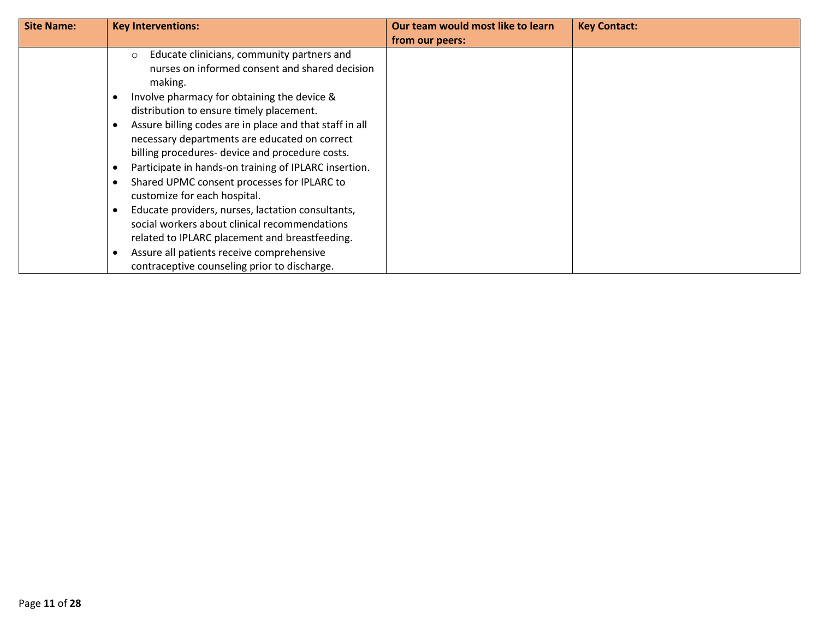| <b>Site Name:</b> | <b>Key Interventions:</b>                                                                                                                                                                                                                                                                                                                                                                                                                                                                                                                                                                                                                                                                                                                                                 | Our team would most like to learn | <b>Key Contact:</b> |
|-------------------|---------------------------------------------------------------------------------------------------------------------------------------------------------------------------------------------------------------------------------------------------------------------------------------------------------------------------------------------------------------------------------------------------------------------------------------------------------------------------------------------------------------------------------------------------------------------------------------------------------------------------------------------------------------------------------------------------------------------------------------------------------------------------|-----------------------------------|---------------------|
|                   |                                                                                                                                                                                                                                                                                                                                                                                                                                                                                                                                                                                                                                                                                                                                                                           | from our peers:                   |                     |
|                   | Educate clinicians, community partners and<br>$\circ$<br>nurses on informed consent and shared decision<br>making.<br>Involve pharmacy for obtaining the device &<br>distribution to ensure timely placement.<br>Assure billing codes are in place and that staff in all<br>necessary departments are educated on correct<br>billing procedures- device and procedure costs.<br>Participate in hands-on training of IPLARC insertion.<br>Shared UPMC consent processes for IPLARC to<br>customize for each hospital.<br>Educate providers, nurses, lactation consultants,<br>social workers about clinical recommendations<br>related to IPLARC placement and breastfeeding.<br>Assure all patients receive comprehensive<br>contraceptive counseling prior to discharge. |                                   |                     |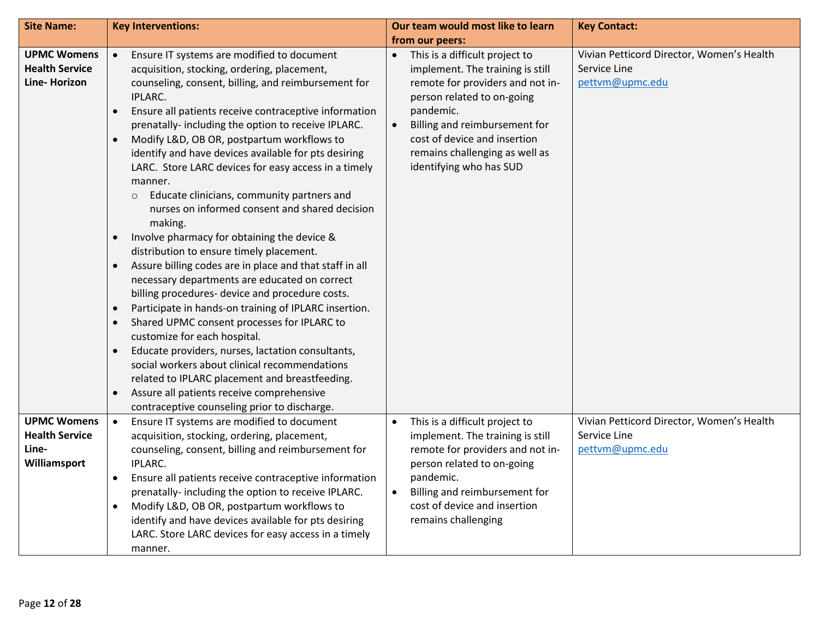| <b>Site Name:</b>                                                    | <b>Key Interventions:</b>                                                                                                                                                                                                                                                                                                                                                                                                                                                                                                                                                                                                                                                                                                                                                                                                                                                                                                                                                                                                                                                                                                                                                                                                                                                                          | Our team would most like to learn                                                                                                                                                                                                                                                                         | <b>Key Contact:</b>                                                          |
|----------------------------------------------------------------------|----------------------------------------------------------------------------------------------------------------------------------------------------------------------------------------------------------------------------------------------------------------------------------------------------------------------------------------------------------------------------------------------------------------------------------------------------------------------------------------------------------------------------------------------------------------------------------------------------------------------------------------------------------------------------------------------------------------------------------------------------------------------------------------------------------------------------------------------------------------------------------------------------------------------------------------------------------------------------------------------------------------------------------------------------------------------------------------------------------------------------------------------------------------------------------------------------------------------------------------------------------------------------------------------------|-----------------------------------------------------------------------------------------------------------------------------------------------------------------------------------------------------------------------------------------------------------------------------------------------------------|------------------------------------------------------------------------------|
|                                                                      |                                                                                                                                                                                                                                                                                                                                                                                                                                                                                                                                                                                                                                                                                                                                                                                                                                                                                                                                                                                                                                                                                                                                                                                                                                                                                                    | from our peers:                                                                                                                                                                                                                                                                                           |                                                                              |
| <b>UPMC Womens</b><br><b>Health Service</b><br>Line-Horizon          | Ensure IT systems are modified to document<br>$\bullet$<br>acquisition, stocking, ordering, placement,<br>counseling, consent, billing, and reimbursement for<br>IPLARC.<br>Ensure all patients receive contraceptive information<br>$\bullet$<br>prenatally- including the option to receive IPLARC.<br>Modify L&D, OB OR, postpartum workflows to<br>identify and have devices available for pts desiring<br>LARC. Store LARC devices for easy access in a timely<br>manner.<br>Educate clinicians, community partners and<br>$\circ$<br>nurses on informed consent and shared decision<br>making.<br>Involve pharmacy for obtaining the device &<br>distribution to ensure timely placement.<br>Assure billing codes are in place and that staff in all<br>$\bullet$<br>necessary departments are educated on correct<br>billing procedures- device and procedure costs.<br>Participate in hands-on training of IPLARC insertion.<br>$\bullet$<br>Shared UPMC consent processes for IPLARC to<br>customize for each hospital.<br>Educate providers, nurses, lactation consultants,<br>$\bullet$<br>social workers about clinical recommendations<br>related to IPLARC placement and breastfeeding.<br>Assure all patients receive comprehensive<br>contraceptive counseling prior to discharge. | This is a difficult project to<br>$\bullet$<br>implement. The training is still<br>remote for providers and not in-<br>person related to on-going<br>pandemic.<br>Billing and reimbursement for<br>$\bullet$<br>cost of device and insertion<br>remains challenging as well as<br>identifying who has SUD | Vivian Petticord Director, Women's Health<br>Service Line<br>pettvm@upmc.edu |
| <b>UPMC Womens</b><br><b>Health Service</b><br>Line-<br>Williamsport | Ensure IT systems are modified to document<br>$\bullet$<br>acquisition, stocking, ordering, placement,<br>counseling, consent, billing and reimbursement for<br>IPLARC.<br>Ensure all patients receive contraceptive information<br>$\bullet$<br>prenatally- including the option to receive IPLARC.<br>Modify L&D, OB OR, postpartum workflows to<br>identify and have devices available for pts desiring<br>LARC. Store LARC devices for easy access in a timely<br>manner.                                                                                                                                                                                                                                                                                                                                                                                                                                                                                                                                                                                                                                                                                                                                                                                                                      | This is a difficult project to<br>$\bullet$<br>implement. The training is still<br>remote for providers and not in-<br>person related to on-going<br>pandemic.<br>Billing and reimbursement for<br>$\bullet$<br>cost of device and insertion<br>remains challenging                                       | Vivian Petticord Director, Women's Health<br>Service Line<br>pettvm@upmc.edu |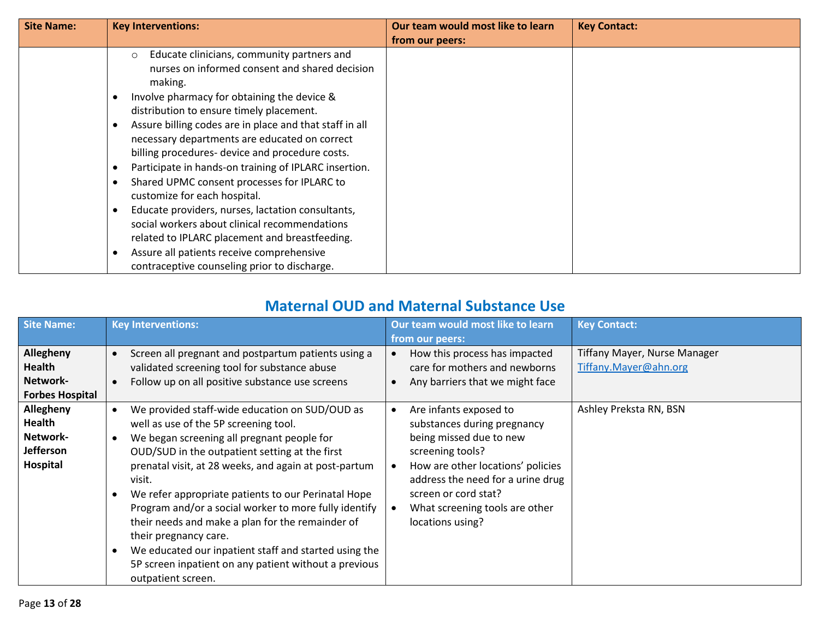| <b>Key Interventions:</b>                                                                                                                                                                                                                                                                                                                                                                                                                                                                                                                                                                                                                                                    | Our team would most like to learn         | <b>Key Contact:</b> |
|------------------------------------------------------------------------------------------------------------------------------------------------------------------------------------------------------------------------------------------------------------------------------------------------------------------------------------------------------------------------------------------------------------------------------------------------------------------------------------------------------------------------------------------------------------------------------------------------------------------------------------------------------------------------------|-------------------------------------------|---------------------|
|                                                                                                                                                                                                                                                                                                                                                                                                                                                                                                                                                                                                                                                                              | from our peers:                           |                     |
| Educate clinicians, community partners and<br>$\circ$<br>nurses on informed consent and shared decision<br>making.<br>Involve pharmacy for obtaining the device &<br>distribution to ensure timely placement.<br>Assure billing codes are in place and that staff in all<br>necessary departments are educated on correct<br>billing procedures- device and procedure costs.<br>Participate in hands-on training of IPLARC insertion.<br>Shared UPMC consent processes for IPLARC to<br>customize for each hospital.<br>Educate providers, nurses, lactation consultants,<br>social workers about clinical recommendations<br>related to IPLARC placement and breastfeeding. |                                           |                     |
| contraceptive counseling prior to discharge.                                                                                                                                                                                                                                                                                                                                                                                                                                                                                                                                                                                                                                 |                                           |                     |
|                                                                                                                                                                                                                                                                                                                                                                                                                                                                                                                                                                                                                                                                              | Assure all patients receive comprehensive |                     |

#### **Maternal OUD and Maternal Substance Use**

| Site Name:                                                             | <b>Key Interventions:</b>                                                                                                                                                                                                                                                                                                                                                                                                                                                                                                                                                                       | Our team would most like to learn<br>from our peers:                                                                                                                                                                                                         | <b>Key Contact:</b>                                   |
|------------------------------------------------------------------------|-------------------------------------------------------------------------------------------------------------------------------------------------------------------------------------------------------------------------------------------------------------------------------------------------------------------------------------------------------------------------------------------------------------------------------------------------------------------------------------------------------------------------------------------------------------------------------------------------|--------------------------------------------------------------------------------------------------------------------------------------------------------------------------------------------------------------------------------------------------------------|-------------------------------------------------------|
| Allegheny<br><b>Health</b><br>Network-<br><b>Forbes Hospital</b>       | Screen all pregnant and postpartum patients using a<br>validated screening tool for substance abuse<br>Follow up on all positive substance use screens                                                                                                                                                                                                                                                                                                                                                                                                                                          | How this process has impacted<br>care for mothers and newborns<br>Any barriers that we might face                                                                                                                                                            | Tiffany Mayer, Nurse Manager<br>Tiffany.Mayer@ahn.org |
| Allegheny<br><b>Health</b><br>Network-<br><b>Jefferson</b><br>Hospital | We provided staff-wide education on SUD/OUD as<br>well as use of the 5P screening tool.<br>We began screening all pregnant people for<br>OUD/SUD in the outpatient setting at the first<br>prenatal visit, at 28 weeks, and again at post-partum<br>visit.<br>We refer appropriate patients to our Perinatal Hope<br>Program and/or a social worker to more fully identify<br>their needs and make a plan for the remainder of<br>their pregnancy care.<br>We educated our inpatient staff and started using the<br>5P screen inpatient on any patient without a previous<br>outpatient screen. | Are infants exposed to<br>substances during pregnancy<br>being missed due to new<br>screening tools?<br>How are other locations' policies<br>address the need for a urine drug<br>screen or cord stat?<br>What screening tools are other<br>locations using? | Ashley Preksta RN, BSN                                |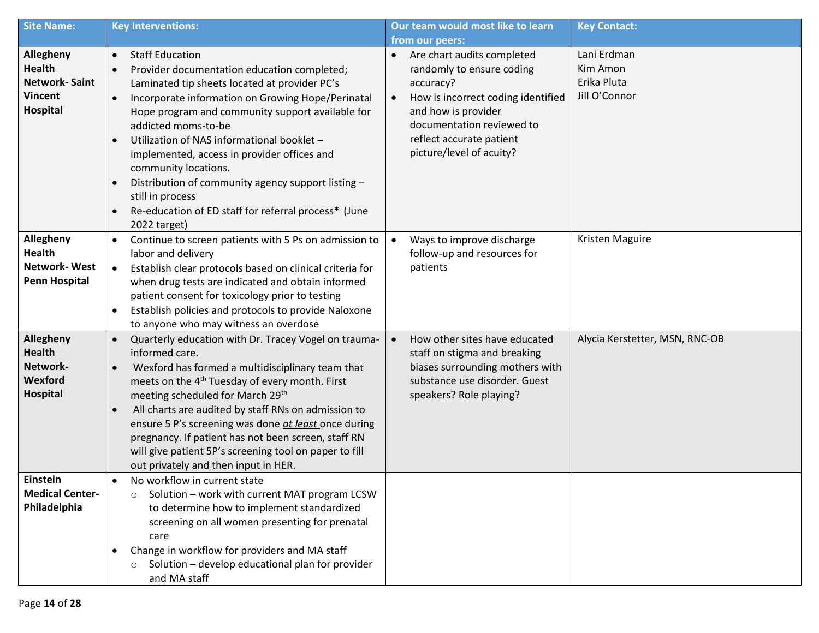| <b>Site Name:</b>                                                                       | <b>Key Interventions:</b>                                                                                                                                                                                                                                                                                                                                                                                                                                                                                                                                                         | Our team would most like to learn                                                                                                                                                                                                                | <b>Key Contact:</b>                                     |
|-----------------------------------------------------------------------------------------|-----------------------------------------------------------------------------------------------------------------------------------------------------------------------------------------------------------------------------------------------------------------------------------------------------------------------------------------------------------------------------------------------------------------------------------------------------------------------------------------------------------------------------------------------------------------------------------|--------------------------------------------------------------------------------------------------------------------------------------------------------------------------------------------------------------------------------------------------|---------------------------------------------------------|
|                                                                                         |                                                                                                                                                                                                                                                                                                                                                                                                                                                                                                                                                                                   | from our peers:                                                                                                                                                                                                                                  |                                                         |
| Allegheny<br><b>Health</b><br><b>Network-Saint</b><br><b>Vincent</b><br><b>Hospital</b> | <b>Staff Education</b><br>$\bullet$<br>Provider documentation education completed;<br>$\bullet$<br>Laminated tip sheets located at provider PC's<br>Incorporate information on Growing Hope/Perinatal<br>$\bullet$<br>Hope program and community support available for<br>addicted moms-to-be<br>Utilization of NAS informational booklet -<br>implemented, access in provider offices and<br>community locations.<br>Distribution of community agency support listing -<br>$\bullet$<br>still in process<br>Re-education of ED staff for referral process* (June<br>2022 target) | Are chart audits completed<br>$\bullet$<br>randomly to ensure coding<br>accuracy?<br>How is incorrect coding identified<br>$\bullet$<br>and how is provider<br>documentation reviewed to<br>reflect accurate patient<br>picture/level of acuity? | Lani Erdman<br>Kim Amon<br>Erika Pluta<br>Jill O'Connor |
| Allegheny<br><b>Health</b><br><b>Network-West</b><br><b>Penn Hospital</b>               | Continue to screen patients with 5 Ps on admission to<br>$\bullet$<br>labor and delivery<br>Establish clear protocols based on clinical criteria for<br>$\bullet$<br>when drug tests are indicated and obtain informed<br>patient consent for toxicology prior to testing<br>Establish policies and protocols to provide Naloxone<br>to anyone who may witness an overdose                                                                                                                                                                                                        | Ways to improve discharge<br>$\bullet$<br>follow-up and resources for<br>patients                                                                                                                                                                | Kristen Maguire                                         |
| Allegheny<br><b>Health</b><br>Network-<br>Wexford<br><b>Hospital</b>                    | Quarterly education with Dr. Tracey Vogel on trauma-<br>$\bullet$<br>informed care.<br>Wexford has formed a multidisciplinary team that<br>$\bullet$<br>meets on the 4 <sup>th</sup> Tuesday of every month. First<br>meeting scheduled for March 29 <sup>th</sup><br>All charts are audited by staff RNs on admission to<br>ensure 5 P's screening was done at least once during<br>pregnancy. If patient has not been screen, staff RN<br>will give patient 5P's screening tool on paper to fill<br>out privately and then input in HER.                                        | How other sites have educated<br>$\bullet$<br>staff on stigma and breaking<br>biases surrounding mothers with<br>substance use disorder. Guest<br>speakers? Role playing?                                                                        | Alycia Kerstetter, MSN, RNC-OB                          |
| Einstein<br><b>Medical Center-</b><br>Philadelphia                                      | No workflow in current state<br>٠<br>Solution - work with current MAT program LCSW<br>$\circ$<br>to determine how to implement standardized<br>screening on all women presenting for prenatal<br>care<br>Change in workflow for providers and MA staff<br>Solution - develop educational plan for provider<br>$\circ$<br>and MA staff                                                                                                                                                                                                                                             |                                                                                                                                                                                                                                                  |                                                         |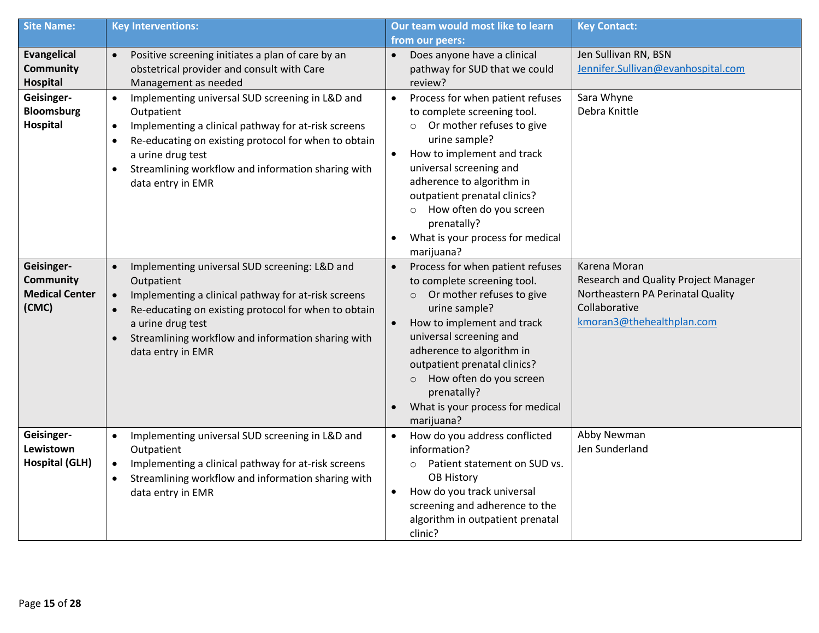| <b>Site Name:</b>                                                | <b>Key Interventions:</b>                                                                                                                                                                                                                                                                                                        | Our team would most like to learn                                                                                                                                                                                                                                                                                                                                                            | <b>Key Contact:</b>                                                                                                                     |
|------------------------------------------------------------------|----------------------------------------------------------------------------------------------------------------------------------------------------------------------------------------------------------------------------------------------------------------------------------------------------------------------------------|----------------------------------------------------------------------------------------------------------------------------------------------------------------------------------------------------------------------------------------------------------------------------------------------------------------------------------------------------------------------------------------------|-----------------------------------------------------------------------------------------------------------------------------------------|
|                                                                  |                                                                                                                                                                                                                                                                                                                                  | from our peers:                                                                                                                                                                                                                                                                                                                                                                              |                                                                                                                                         |
| <b>Evangelical</b><br><b>Community</b><br><b>Hospital</b>        | Positive screening initiates a plan of care by an<br>$\bullet$<br>obstetrical provider and consult with Care<br>Management as needed                                                                                                                                                                                             | Does anyone have a clinical<br>pathway for SUD that we could<br>review?                                                                                                                                                                                                                                                                                                                      | Jen Sullivan RN, BSN<br>Jennifer.Sullivan@evanhospital.com                                                                              |
| Geisinger-<br><b>Bloomsburg</b><br><b>Hospital</b>               | Implementing universal SUD screening in L&D and<br>$\bullet$<br>Outpatient<br>Implementing a clinical pathway for at-risk screens<br>$\bullet$<br>Re-educating on existing protocol for when to obtain<br>$\bullet$<br>a urine drug test<br>Streamlining workflow and information sharing with<br>$\bullet$<br>data entry in EMR | Process for when patient refuses<br>$\bullet$<br>to complete screening tool.<br>Or mother refuses to give<br>$\circ$<br>urine sample?<br>How to implement and track<br>$\bullet$<br>universal screening and<br>adherence to algorithm in<br>outpatient prenatal clinics?<br>How often do you screen<br>$\circ$<br>prenatally?<br>What is your process for medical<br>$\bullet$<br>marijuana? | Sara Whyne<br>Debra Knittle                                                                                                             |
| Geisinger-<br><b>Community</b><br><b>Medical Center</b><br>(CMC) | Implementing universal SUD screening: L&D and<br>$\bullet$<br>Outpatient<br>Implementing a clinical pathway for at-risk screens<br>$\bullet$<br>Re-educating on existing protocol for when to obtain<br>a urine drug test<br>Streamlining workflow and information sharing with<br>data entry in EMR                             | Process for when patient refuses<br>$\bullet$<br>to complete screening tool.<br>Or mother refuses to give<br>$\circ$<br>urine sample?<br>How to implement and track<br>$\bullet$<br>universal screening and<br>adherence to algorithm in<br>outpatient prenatal clinics?<br>How often do you screen<br>$\circ$<br>prenatally?<br>What is your process for medical<br>marijuana?              | Karena Moran<br>Research and Quality Project Manager<br>Northeastern PA Perinatal Quality<br>Collaborative<br>kmoran3@thehealthplan.com |
| Geisinger-<br>Lewistown<br><b>Hospital (GLH)</b>                 | Implementing universal SUD screening in L&D and<br>$\bullet$<br>Outpatient<br>Implementing a clinical pathway for at-risk screens<br>$\bullet$<br>Streamlining workflow and information sharing with<br>data entry in EMR                                                                                                        | How do you address conflicted<br>information?<br>Patient statement on SUD vs.<br>$\circ$<br><b>OB History</b><br>How do you track universal<br>$\bullet$<br>screening and adherence to the<br>algorithm in outpatient prenatal<br>clinic?                                                                                                                                                    | Abby Newman<br>Jen Sunderland                                                                                                           |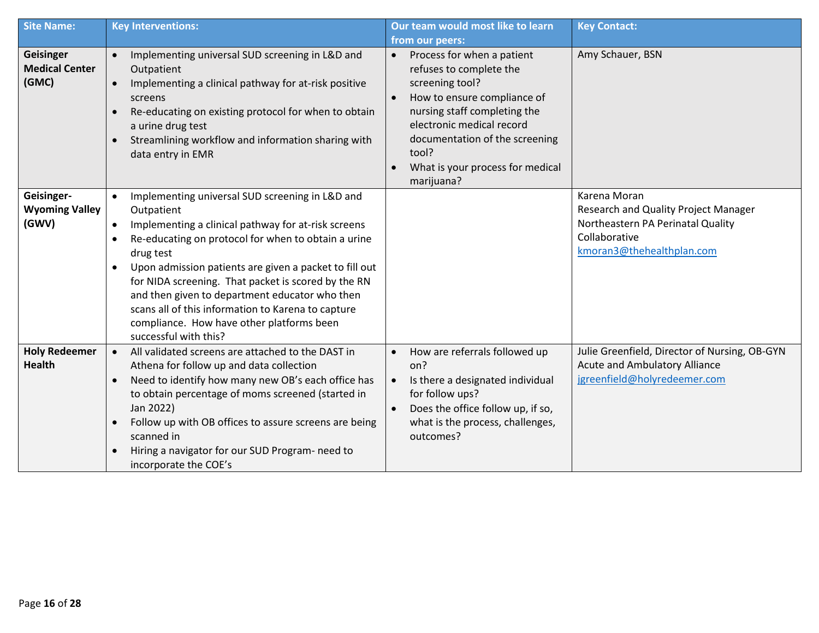| <b>Site Name:</b>                            | <b>Key Interventions:</b>                                                                                                                                                                                                                                                                                                                                                                                                                                                                            | Our team would most like to learn                                                                                                                                                                                                                                 | <b>Key Contact:</b>                                                                                                                     |
|----------------------------------------------|------------------------------------------------------------------------------------------------------------------------------------------------------------------------------------------------------------------------------------------------------------------------------------------------------------------------------------------------------------------------------------------------------------------------------------------------------------------------------------------------------|-------------------------------------------------------------------------------------------------------------------------------------------------------------------------------------------------------------------------------------------------------------------|-----------------------------------------------------------------------------------------------------------------------------------------|
|                                              |                                                                                                                                                                                                                                                                                                                                                                                                                                                                                                      | from our peers:                                                                                                                                                                                                                                                   |                                                                                                                                         |
| Geisinger<br><b>Medical Center</b><br>(GMC)  | Implementing universal SUD screening in L&D and<br>$\bullet$<br>Outpatient<br>Implementing a clinical pathway for at-risk positive<br>$\bullet$<br>screens<br>Re-educating on existing protocol for when to obtain<br>a urine drug test<br>Streamlining workflow and information sharing with<br>data entry in EMR                                                                                                                                                                                   | Process for when a patient<br>refuses to complete the<br>screening tool?<br>How to ensure compliance of<br>nursing staff completing the<br>electronic medical record<br>documentation of the screening<br>tool?<br>What is your process for medical<br>marijuana? | Amy Schauer, BSN                                                                                                                        |
| Geisinger-<br><b>Wyoming Valley</b><br>(GWV) | Implementing universal SUD screening in L&D and<br>$\bullet$<br>Outpatient<br>Implementing a clinical pathway for at-risk screens<br>Re-educating on protocol for when to obtain a urine<br>drug test<br>Upon admission patients are given a packet to fill out<br>for NIDA screening. That packet is scored by the RN<br>and then given to department educator who then<br>scans all of this information to Karena to capture<br>compliance. How have other platforms been<br>successful with this? |                                                                                                                                                                                                                                                                   | Karena Moran<br>Research and Quality Project Manager<br>Northeastern PA Perinatal Quality<br>Collaborative<br>kmoran3@thehealthplan.com |
| <b>Holy Redeemer</b><br><b>Health</b>        | All validated screens are attached to the DAST in<br>Athena for follow up and data collection<br>Need to identify how many new OB's each office has<br>to obtain percentage of moms screened (started in<br>Jan 2022)<br>Follow up with OB offices to assure screens are being<br>scanned in<br>Hiring a navigator for our SUD Program- need to<br>incorporate the COE's                                                                                                                             | How are referrals followed up<br>on?<br>Is there a designated individual<br>$\bullet$<br>for follow ups?<br>Does the office follow up, if so,<br>$\bullet$<br>what is the process, challenges,<br>outcomes?                                                       | Julie Greenfield, Director of Nursing, OB-GYN<br>Acute and Ambulatory Alliance<br>jgreenfield@holyredeemer.com                          |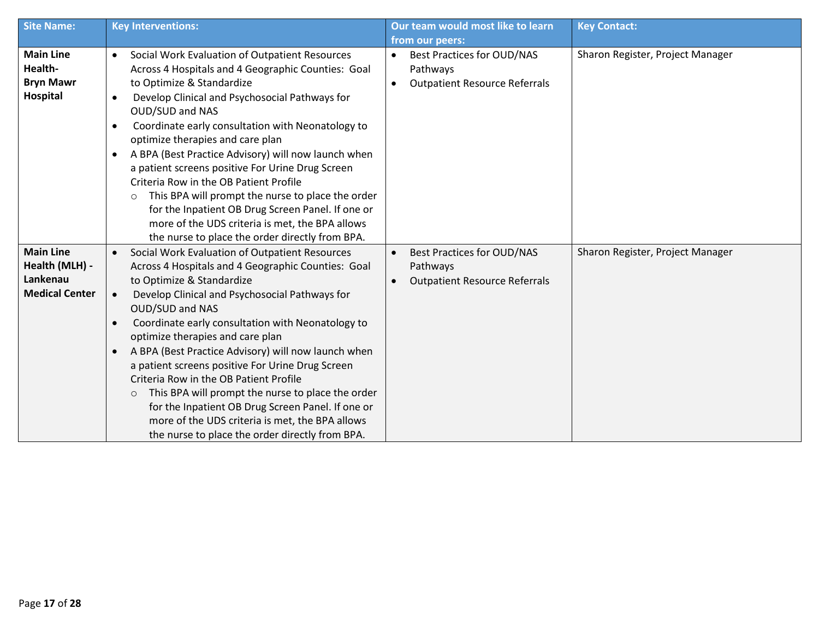| <b>Site Name:</b>                                                       | <b>Key Interventions:</b>                                                                                                                                                                                                                                                                                                                                                                                                                                                                                                                                                                                                                                                                                      | Our team would most like to learn                                                                               | <b>Key Contact:</b>              |
|-------------------------------------------------------------------------|----------------------------------------------------------------------------------------------------------------------------------------------------------------------------------------------------------------------------------------------------------------------------------------------------------------------------------------------------------------------------------------------------------------------------------------------------------------------------------------------------------------------------------------------------------------------------------------------------------------------------------------------------------------------------------------------------------------|-----------------------------------------------------------------------------------------------------------------|----------------------------------|
|                                                                         |                                                                                                                                                                                                                                                                                                                                                                                                                                                                                                                                                                                                                                                                                                                | from our peers:                                                                                                 |                                  |
| <b>Main Line</b><br>Health-<br><b>Bryn Mawr</b><br>Hospital             | Social Work Evaluation of Outpatient Resources<br>$\bullet$<br>Across 4 Hospitals and 4 Geographic Counties: Goal<br>to Optimize & Standardize<br>Develop Clinical and Psychosocial Pathways for<br>$\bullet$<br>OUD/SUD and NAS<br>Coordinate early consultation with Neonatology to<br>٠<br>optimize therapies and care plan<br>A BPA (Best Practice Advisory) will now launch when<br>a patient screens positive For Urine Drug Screen<br>Criteria Row in the OB Patient Profile<br>This BPA will prompt the nurse to place the order<br>$\circ$<br>for the Inpatient OB Drug Screen Panel. If one or<br>more of the UDS criteria is met, the BPA allows<br>the nurse to place the order directly from BPA. | <b>Best Practices for OUD/NAS</b><br>$\bullet$<br>Pathways<br><b>Outpatient Resource Referrals</b><br>$\bullet$ | Sharon Register, Project Manager |
| <b>Main Line</b><br>Health (MLH) -<br>Lankenau<br><b>Medical Center</b> | Social Work Evaluation of Outpatient Resources<br>$\bullet$<br>Across 4 Hospitals and 4 Geographic Counties: Goal<br>to Optimize & Standardize<br>Develop Clinical and Psychosocial Pathways for<br>$\bullet$<br>OUD/SUD and NAS<br>Coordinate early consultation with Neonatology to<br>optimize therapies and care plan<br>A BPA (Best Practice Advisory) will now launch when<br>a patient screens positive For Urine Drug Screen<br>Criteria Row in the OB Patient Profile<br>This BPA will prompt the nurse to place the order<br>$\circ$<br>for the Inpatient OB Drug Screen Panel. If one or<br>more of the UDS criteria is met, the BPA allows<br>the nurse to place the order directly from BPA.      | <b>Best Practices for OUD/NAS</b><br>Pathways<br><b>Outpatient Resource Referrals</b><br>$\bullet$              | Sharon Register, Project Manager |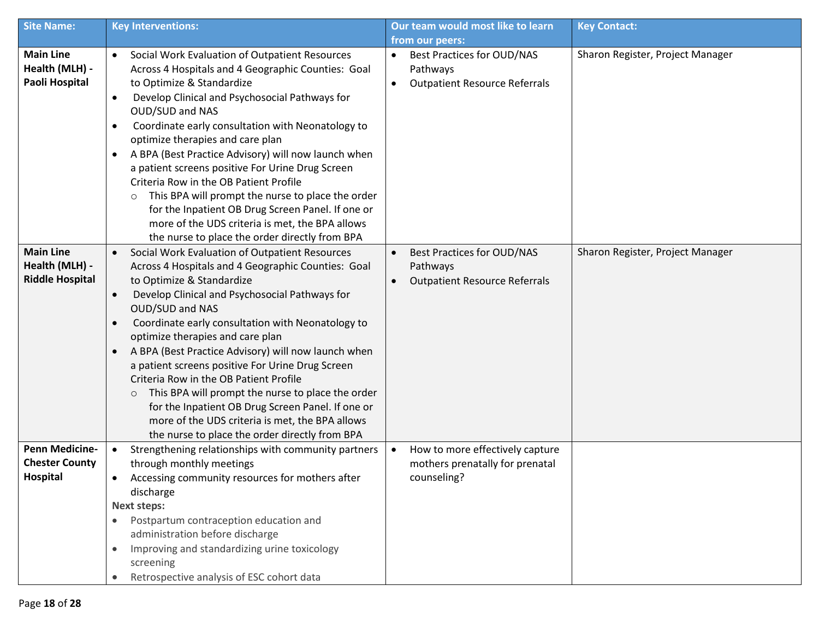| <b>Site Name:</b>                                    | <b>Key Interventions:</b>                                                                                                                                                                                                                                                                                                                                                                                                                                                                                                                                                                                                                                                                                                          | Our team would most like to learn                                                                               | <b>Key Contact:</b>              |
|------------------------------------------------------|------------------------------------------------------------------------------------------------------------------------------------------------------------------------------------------------------------------------------------------------------------------------------------------------------------------------------------------------------------------------------------------------------------------------------------------------------------------------------------------------------------------------------------------------------------------------------------------------------------------------------------------------------------------------------------------------------------------------------------|-----------------------------------------------------------------------------------------------------------------|----------------------------------|
|                                                      |                                                                                                                                                                                                                                                                                                                                                                                                                                                                                                                                                                                                                                                                                                                                    | from our peers:                                                                                                 |                                  |
| <b>Main Line</b><br>Health (MLH) -<br>Paoli Hospital | Social Work Evaluation of Outpatient Resources<br>$\bullet$<br>Across 4 Hospitals and 4 Geographic Counties: Goal<br>to Optimize & Standardize<br>Develop Clinical and Psychosocial Pathways for<br>$\bullet$<br>OUD/SUD and NAS<br>Coordinate early consultation with Neonatology to<br>$\bullet$<br>optimize therapies and care plan<br>A BPA (Best Practice Advisory) will now launch when<br>$\bullet$<br>a patient screens positive For Urine Drug Screen<br>Criteria Row in the OB Patient Profile<br>This BPA will prompt the nurse to place the order<br>$\circ$<br>for the Inpatient OB Drug Screen Panel. If one or<br>more of the UDS criteria is met, the BPA allows<br>the nurse to place the order directly from BPA | <b>Best Practices for OUD/NAS</b><br>$\bullet$<br>Pathways<br><b>Outpatient Resource Referrals</b><br>$\bullet$ | Sharon Register, Project Manager |
| <b>Main Line</b>                                     | Social Work Evaluation of Outpatient Resources<br>$\bullet$                                                                                                                                                                                                                                                                                                                                                                                                                                                                                                                                                                                                                                                                        | Best Practices for OUD/NAS<br>$\bullet$                                                                         | Sharon Register, Project Manager |
| Health (MLH) -                                       | Across 4 Hospitals and 4 Geographic Counties: Goal                                                                                                                                                                                                                                                                                                                                                                                                                                                                                                                                                                                                                                                                                 | Pathways                                                                                                        |                                  |
| <b>Riddle Hospital</b>                               | to Optimize & Standardize                                                                                                                                                                                                                                                                                                                                                                                                                                                                                                                                                                                                                                                                                                          | <b>Outpatient Resource Referrals</b>                                                                            |                                  |
|                                                      | Develop Clinical and Psychosocial Pathways for<br>$\bullet$                                                                                                                                                                                                                                                                                                                                                                                                                                                                                                                                                                                                                                                                        |                                                                                                                 |                                  |
|                                                      | <b>OUD/SUD and NAS</b>                                                                                                                                                                                                                                                                                                                                                                                                                                                                                                                                                                                                                                                                                                             |                                                                                                                 |                                  |
|                                                      | Coordinate early consultation with Neonatology to<br>optimize therapies and care plan                                                                                                                                                                                                                                                                                                                                                                                                                                                                                                                                                                                                                                              |                                                                                                                 |                                  |
|                                                      | A BPA (Best Practice Advisory) will now launch when<br>$\bullet$                                                                                                                                                                                                                                                                                                                                                                                                                                                                                                                                                                                                                                                                   |                                                                                                                 |                                  |
|                                                      | a patient screens positive For Urine Drug Screen                                                                                                                                                                                                                                                                                                                                                                                                                                                                                                                                                                                                                                                                                   |                                                                                                                 |                                  |
|                                                      | Criteria Row in the OB Patient Profile                                                                                                                                                                                                                                                                                                                                                                                                                                                                                                                                                                                                                                                                                             |                                                                                                                 |                                  |
|                                                      | This BPA will prompt the nurse to place the order<br>$\circ$                                                                                                                                                                                                                                                                                                                                                                                                                                                                                                                                                                                                                                                                       |                                                                                                                 |                                  |
|                                                      | for the Inpatient OB Drug Screen Panel. If one or                                                                                                                                                                                                                                                                                                                                                                                                                                                                                                                                                                                                                                                                                  |                                                                                                                 |                                  |
|                                                      | more of the UDS criteria is met, the BPA allows                                                                                                                                                                                                                                                                                                                                                                                                                                                                                                                                                                                                                                                                                    |                                                                                                                 |                                  |
|                                                      | the nurse to place the order directly from BPA                                                                                                                                                                                                                                                                                                                                                                                                                                                                                                                                                                                                                                                                                     |                                                                                                                 |                                  |
| <b>Penn Medicine-</b>                                | Strengthening relationships with community partners<br>$\bullet$                                                                                                                                                                                                                                                                                                                                                                                                                                                                                                                                                                                                                                                                   | How to more effectively capture<br>$\bullet$                                                                    |                                  |
| <b>Chester County</b>                                | through monthly meetings                                                                                                                                                                                                                                                                                                                                                                                                                                                                                                                                                                                                                                                                                                           | mothers prenatally for prenatal                                                                                 |                                  |
| <b>Hospital</b>                                      | Accessing community resources for mothers after                                                                                                                                                                                                                                                                                                                                                                                                                                                                                                                                                                                                                                                                                    | counseling?                                                                                                     |                                  |
|                                                      | discharge                                                                                                                                                                                                                                                                                                                                                                                                                                                                                                                                                                                                                                                                                                                          |                                                                                                                 |                                  |
|                                                      | <b>Next steps:</b>                                                                                                                                                                                                                                                                                                                                                                                                                                                                                                                                                                                                                                                                                                                 |                                                                                                                 |                                  |
|                                                      | Postpartum contraception education and<br>$\bullet$                                                                                                                                                                                                                                                                                                                                                                                                                                                                                                                                                                                                                                                                                |                                                                                                                 |                                  |
|                                                      | administration before discharge                                                                                                                                                                                                                                                                                                                                                                                                                                                                                                                                                                                                                                                                                                    |                                                                                                                 |                                  |
|                                                      | Improving and standardizing urine toxicology                                                                                                                                                                                                                                                                                                                                                                                                                                                                                                                                                                                                                                                                                       |                                                                                                                 |                                  |
|                                                      | screening                                                                                                                                                                                                                                                                                                                                                                                                                                                                                                                                                                                                                                                                                                                          |                                                                                                                 |                                  |
|                                                      | Retrospective analysis of ESC cohort data                                                                                                                                                                                                                                                                                                                                                                                                                                                                                                                                                                                                                                                                                          |                                                                                                                 |                                  |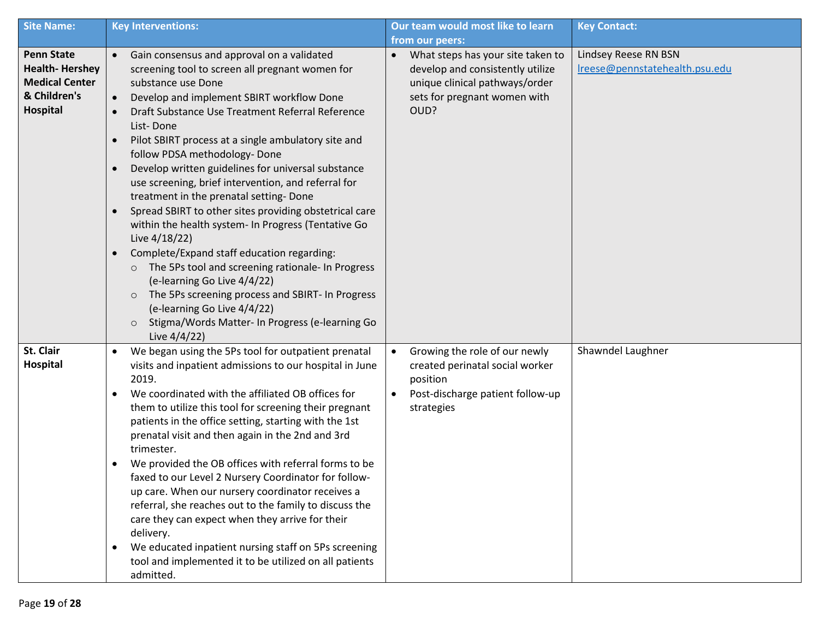| <b>Site Name:</b>                                                                                      | <b>Key Interventions:</b>                                                                                                                                                                                                                                                                                                                                                                                                                                                                                                                                                                                                                                                                                                                                                                                                                                                                                                                                                                                                  | Our team would most like to learn                                                                                                                            | <b>Key Contact:</b>                                    |
|--------------------------------------------------------------------------------------------------------|----------------------------------------------------------------------------------------------------------------------------------------------------------------------------------------------------------------------------------------------------------------------------------------------------------------------------------------------------------------------------------------------------------------------------------------------------------------------------------------------------------------------------------------------------------------------------------------------------------------------------------------------------------------------------------------------------------------------------------------------------------------------------------------------------------------------------------------------------------------------------------------------------------------------------------------------------------------------------------------------------------------------------|--------------------------------------------------------------------------------------------------------------------------------------------------------------|--------------------------------------------------------|
|                                                                                                        |                                                                                                                                                                                                                                                                                                                                                                                                                                                                                                                                                                                                                                                                                                                                                                                                                                                                                                                                                                                                                            | from our peers:                                                                                                                                              |                                                        |
| <b>Penn State</b><br><b>Health-Hershey</b><br><b>Medical Center</b><br>& Children's<br><b>Hospital</b> | Gain consensus and approval on a validated<br>$\bullet$<br>screening tool to screen all pregnant women for<br>substance use Done<br>Develop and implement SBIRT workflow Done<br>$\bullet$<br>Draft Substance Use Treatment Referral Reference<br>List-Done<br>Pilot SBIRT process at a single ambulatory site and<br>$\bullet$<br>follow PDSA methodology- Done<br>Develop written guidelines for universal substance<br>$\bullet$<br>use screening, brief intervention, and referral for<br>treatment in the prenatal setting- Done<br>Spread SBIRT to other sites providing obstetrical care<br>$\bullet$<br>within the health system- In Progress (Tentative Go<br>Live 4/18/22)<br>Complete/Expand staff education regarding:<br>$\bullet$<br>The 5Ps tool and screening rationale- In Progress<br>$\circ$<br>(e-learning Go Live 4/4/22)<br>The 5Ps screening process and SBIRT- In Progress<br>$\circ$<br>(e-learning Go Live 4/4/22)<br>Stigma/Words Matter- In Progress (e-learning Go<br>$\circ$<br>Live 4/4/22) | What steps has your site taken to<br>$\bullet$<br>develop and consistently utilize<br>unique clinical pathways/order<br>sets for pregnant women with<br>OUD? | Lindsey Reese RN BSN<br>Ireese@pennstatehealth.psu.edu |
| St. Clair<br><b>Hospital</b>                                                                           | We began using the 5Ps tool for outpatient prenatal<br>$\bullet$<br>visits and inpatient admissions to our hospital in June<br>2019.<br>We coordinated with the affiliated OB offices for<br>$\bullet$<br>them to utilize this tool for screening their pregnant<br>patients in the office setting, starting with the 1st<br>prenatal visit and then again in the 2nd and 3rd<br>trimester.<br>We provided the OB offices with referral forms to be<br>faxed to our Level 2 Nursery Coordinator for follow-<br>up care. When our nursery coordinator receives a<br>referral, she reaches out to the family to discuss the<br>care they can expect when they arrive for their<br>delivery.<br>We educated inpatient nursing staff on 5Ps screening<br>$\bullet$<br>tool and implemented it to be utilized on all patients<br>admitted.                                                                                                                                                                                      | Growing the role of our newly<br>$\bullet$<br>created perinatal social worker<br>position<br>Post-discharge patient follow-up<br>$\bullet$<br>strategies     | Shawndel Laughner                                      |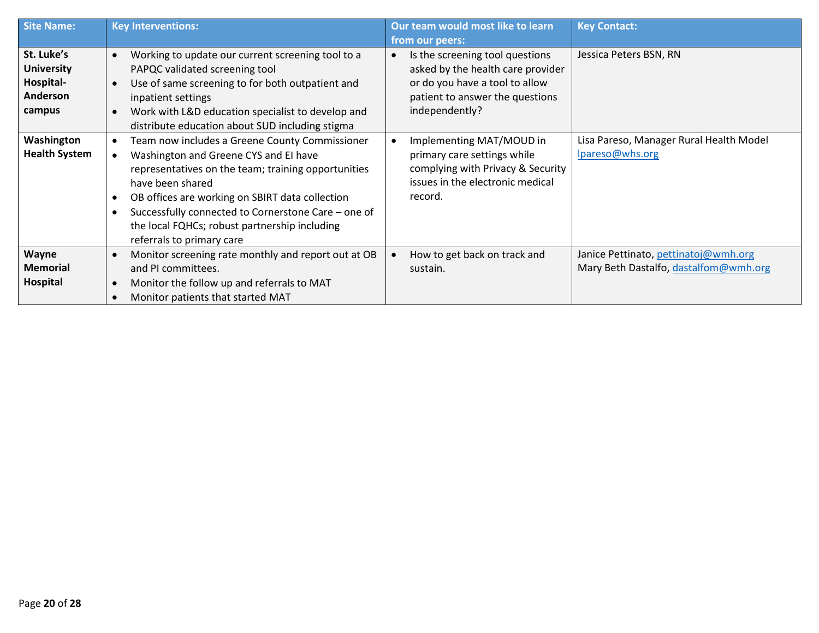| Site Name:           | <b>Key Interventions:</b>                                      | Our team would most like to learn | <b>Key Contact:</b>                     |
|----------------------|----------------------------------------------------------------|-----------------------------------|-----------------------------------------|
|                      |                                                                | from our peers:                   |                                         |
| St. Luke's           | Working to update our current screening tool to a<br>$\bullet$ | Is the screening tool questions   | Jessica Peters BSN, RN                  |
| <b>University</b>    | PAPQC validated screening tool                                 | asked by the health care provider |                                         |
| Hospital-            | Use of same screening to for both outpatient and               | or do you have a tool to allow    |                                         |
| Anderson             | inpatient settings                                             | patient to answer the questions   |                                         |
| campus               | Work with L&D education specialist to develop and              | independently?                    |                                         |
|                      | distribute education about SUD including stigma                |                                   |                                         |
| Washington           | Team now includes a Greene County Commissioner                 | Implementing MAT/MOUD in          | Lisa Pareso, Manager Rural Health Model |
| <b>Health System</b> | Washington and Greene CYS and EI have                          | primary care settings while       | lpareso@whs.org                         |
|                      | representatives on the team; training opportunities            | complying with Privacy & Security |                                         |
|                      | have been shared                                               | issues in the electronic medical  |                                         |
|                      | OB offices are working on SBIRT data collection                | record.                           |                                         |
|                      | Successfully connected to Cornerstone Care - one of            |                                   |                                         |
|                      | the local FQHCs; robust partnership including                  |                                   |                                         |
|                      | referrals to primary care                                      |                                   |                                         |
| <b>Wayne</b>         | Monitor screening rate monthly and report out at OB            | How to get back on track and      | Janice Pettinato, pettinatoj@wmh.org    |
| <b>Memorial</b>      | and PI committees.                                             | sustain.                          | Mary Beth Dastalfo, dastalfom@wmh.org   |
| Hospital             | Monitor the follow up and referrals to MAT                     |                                   |                                         |
|                      | Monitor patients that started MAT                              |                                   |                                         |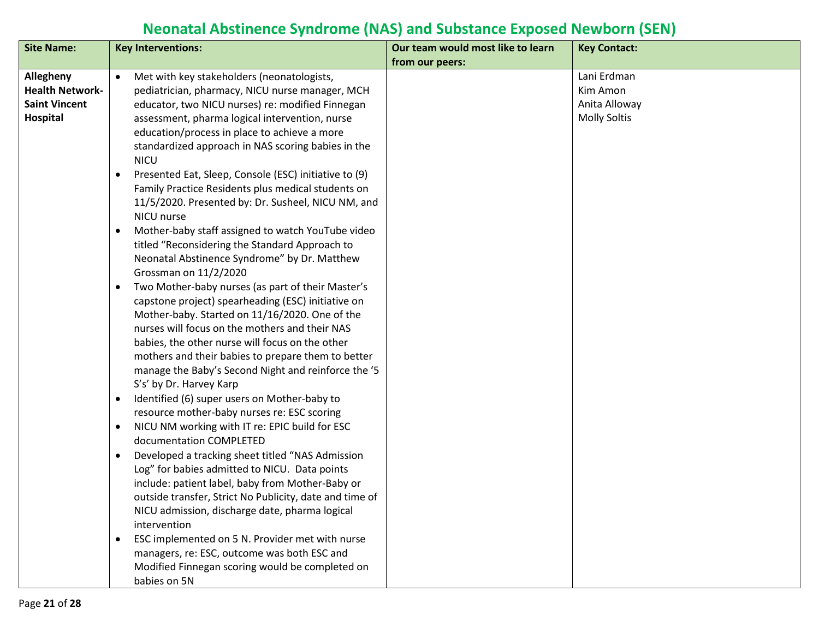## **Neonatal Abstinence Syndrome (NAS) and Substance Exposed Newborn (SEN)**

| <b>Site Name:</b>      | <b>Key Interventions:</b>                                                                         | Our team would most like to learn | <b>Key Contact:</b> |
|------------------------|---------------------------------------------------------------------------------------------------|-----------------------------------|---------------------|
|                        |                                                                                                   | from our peers:                   |                     |
| Allegheny              | Met with key stakeholders (neonatologists,<br>$\bullet$                                           |                                   | Lani Erdman         |
| <b>Health Network-</b> | pediatrician, pharmacy, NICU nurse manager, MCH                                                   |                                   | Kim Amon            |
| <b>Saint Vincent</b>   | educator, two NICU nurses) re: modified Finnegan                                                  |                                   | Anita Alloway       |
| Hospital               | assessment, pharma logical intervention, nurse                                                    |                                   | <b>Molly Soltis</b> |
|                        | education/process in place to achieve a more                                                      |                                   |                     |
|                        | standardized approach in NAS scoring babies in the                                                |                                   |                     |
|                        | <b>NICU</b>                                                                                       |                                   |                     |
|                        | Presented Eat, Sleep, Console (ESC) initiative to (9)<br>$\bullet$                                |                                   |                     |
|                        | Family Practice Residents plus medical students on                                                |                                   |                     |
|                        | 11/5/2020. Presented by: Dr. Susheel, NICU NM, and                                                |                                   |                     |
|                        | NICU nurse                                                                                        |                                   |                     |
|                        | Mother-baby staff assigned to watch YouTube video<br>$\bullet$                                    |                                   |                     |
|                        | titled "Reconsidering the Standard Approach to                                                    |                                   |                     |
|                        | Neonatal Abstinence Syndrome" by Dr. Matthew                                                      |                                   |                     |
|                        | Grossman on 11/2/2020                                                                             |                                   |                     |
|                        | Two Mother-baby nurses (as part of their Master's<br>$\bullet$                                    |                                   |                     |
|                        | capstone project) spearheading (ESC) initiative on                                                |                                   |                     |
|                        | Mother-baby. Started on 11/16/2020. One of the                                                    |                                   |                     |
|                        | nurses will focus on the mothers and their NAS                                                    |                                   |                     |
|                        | babies, the other nurse will focus on the other                                                   |                                   |                     |
|                        | mothers and their babies to prepare them to better                                                |                                   |                     |
|                        | manage the Baby's Second Night and reinforce the '5                                               |                                   |                     |
|                        | S's' by Dr. Harvey Karp                                                                           |                                   |                     |
|                        | Identified (6) super users on Mother-baby to<br>$\bullet$                                         |                                   |                     |
|                        | resource mother-baby nurses re: ESC scoring                                                       |                                   |                     |
|                        | NICU NM working with IT re: EPIC build for ESC<br>$\bullet$                                       |                                   |                     |
|                        | documentation COMPLETED                                                                           |                                   |                     |
|                        | Developed a tracking sheet titled "NAS Admission<br>$\bullet$                                     |                                   |                     |
|                        | Log" for babies admitted to NICU. Data points<br>include: patient label, baby from Mother-Baby or |                                   |                     |
|                        | outside transfer, Strict No Publicity, date and time of                                           |                                   |                     |
|                        | NICU admission, discharge date, pharma logical                                                    |                                   |                     |
|                        | intervention                                                                                      |                                   |                     |
|                        | ESC implemented on 5 N. Provider met with nurse<br>$\bullet$                                      |                                   |                     |
|                        | managers, re: ESC, outcome was both ESC and                                                       |                                   |                     |
|                        | Modified Finnegan scoring would be completed on                                                   |                                   |                     |
|                        | babies on 5N                                                                                      |                                   |                     |
|                        |                                                                                                   |                                   |                     |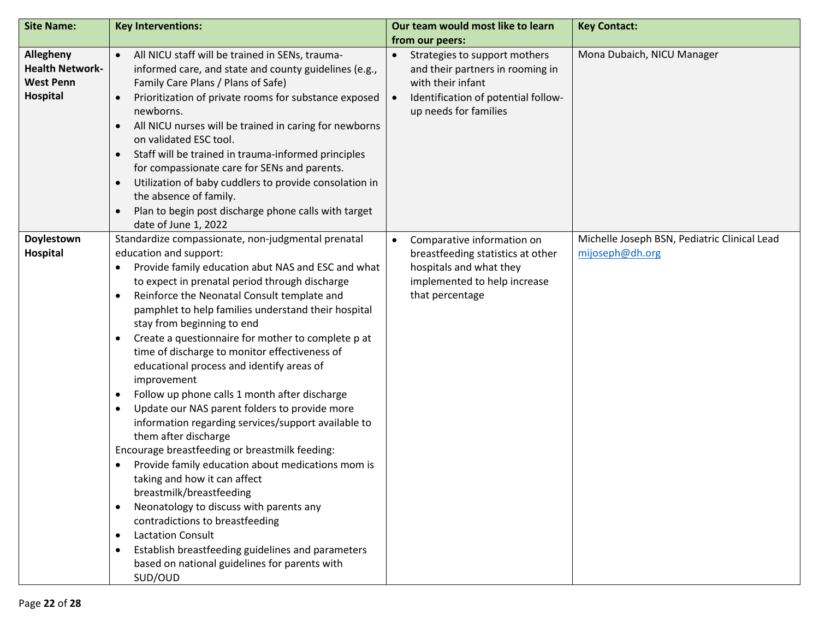| <b>Site Name:</b>                                                          | <b>Key Interventions:</b>                                                                                                                                                                                                                                                                                                                                                                                                                                                                                                                                                                                                                                                                                                                                                                                                                                                                                                                                                                                                                                                                                                                          | Our team would most like to learn                                                                                                                                     | <b>Key Contact:</b>                                             |
|----------------------------------------------------------------------------|----------------------------------------------------------------------------------------------------------------------------------------------------------------------------------------------------------------------------------------------------------------------------------------------------------------------------------------------------------------------------------------------------------------------------------------------------------------------------------------------------------------------------------------------------------------------------------------------------------------------------------------------------------------------------------------------------------------------------------------------------------------------------------------------------------------------------------------------------------------------------------------------------------------------------------------------------------------------------------------------------------------------------------------------------------------------------------------------------------------------------------------------------|-----------------------------------------------------------------------------------------------------------------------------------------------------------------------|-----------------------------------------------------------------|
|                                                                            |                                                                                                                                                                                                                                                                                                                                                                                                                                                                                                                                                                                                                                                                                                                                                                                                                                                                                                                                                                                                                                                                                                                                                    | from our peers:                                                                                                                                                       |                                                                 |
| Allegheny<br><b>Health Network-</b><br><b>West Penn</b><br><b>Hospital</b> | All NICU staff will be trained in SENs, trauma-<br>informed care, and state and county guidelines (e.g.,<br>Family Care Plans / Plans of Safe)<br>Prioritization of private rooms for substance exposed<br>newborns.<br>All NICU nurses will be trained in caring for newborns<br>$\bullet$<br>on validated ESC tool.<br>Staff will be trained in trauma-informed principles<br>$\bullet$<br>for compassionate care for SENs and parents.<br>Utilization of baby cuddlers to provide consolation in<br>$\bullet$<br>the absence of family.<br>Plan to begin post discharge phone calls with target<br>date of June 1, 2022                                                                                                                                                                                                                                                                                                                                                                                                                                                                                                                         | • Strategies to support mothers<br>and their partners in rooming in<br>with their infant<br>Identification of potential follow-<br>$\bullet$<br>up needs for families | Mona Dubaich, NICU Manager                                      |
| Doylestown<br>Hospital                                                     | Standardize compassionate, non-judgmental prenatal<br>education and support:<br>Provide family education abut NAS and ESC and what<br>$\bullet$<br>to expect in prenatal period through discharge<br>Reinforce the Neonatal Consult template and<br>$\bullet$<br>pamphlet to help families understand their hospital<br>stay from beginning to end<br>Create a questionnaire for mother to complete p at<br>$\bullet$<br>time of discharge to monitor effectiveness of<br>educational process and identify areas of<br>improvement<br>Follow up phone calls 1 month after discharge<br>٠<br>Update our NAS parent folders to provide more<br>٠<br>information regarding services/support available to<br>them after discharge<br>Encourage breastfeeding or breastmilk feeding:<br>Provide family education about medications mom is<br>taking and how it can affect<br>breastmilk/breastfeeding<br>Neonatology to discuss with parents any<br>$\bullet$<br>contradictions to breastfeeding<br><b>Lactation Consult</b><br>٠<br>Establish breastfeeding guidelines and parameters<br>٠<br>based on national guidelines for parents with<br>SUD/OUD | Comparative information on<br>$\bullet$<br>breastfeeding statistics at other<br>hospitals and what they<br>implemented to help increase<br>that percentage            | Michelle Joseph BSN, Pediatric Clinical Lead<br>mijoseph@dh.org |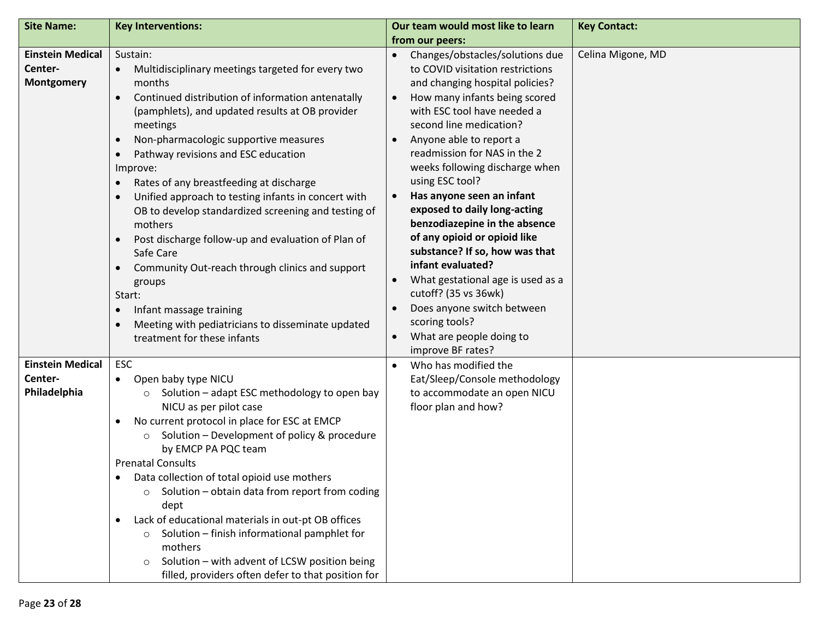| <b>Site Name:</b>                                       | <b>Key Interventions:</b>                                                                                                                                                                                                                                                                                                                                                                                                                                                                                                                                                                                                                                                                                                                                                                                                                              | Our team would most like to learn                                                                                                                                                                                                                                                                                                                                                                                                                                                                                                                                                                                                                                                                                        | <b>Key Contact:</b> |
|---------------------------------------------------------|--------------------------------------------------------------------------------------------------------------------------------------------------------------------------------------------------------------------------------------------------------------------------------------------------------------------------------------------------------------------------------------------------------------------------------------------------------------------------------------------------------------------------------------------------------------------------------------------------------------------------------------------------------------------------------------------------------------------------------------------------------------------------------------------------------------------------------------------------------|--------------------------------------------------------------------------------------------------------------------------------------------------------------------------------------------------------------------------------------------------------------------------------------------------------------------------------------------------------------------------------------------------------------------------------------------------------------------------------------------------------------------------------------------------------------------------------------------------------------------------------------------------------------------------------------------------------------------------|---------------------|
|                                                         |                                                                                                                                                                                                                                                                                                                                                                                                                                                                                                                                                                                                                                                                                                                                                                                                                                                        | from our peers:                                                                                                                                                                                                                                                                                                                                                                                                                                                                                                                                                                                                                                                                                                          |                     |
| <b>Einstein Medical</b><br>Center-<br><b>Montgomery</b> | Sustain:<br>Multidisciplinary meetings targeted for every two<br>$\bullet$<br>months<br>Continued distribution of information antenatally<br>$\bullet$<br>(pamphlets), and updated results at OB provider<br>meetings<br>Non-pharmacologic supportive measures<br>$\bullet$<br>Pathway revisions and ESC education<br>$\bullet$<br>Improve:<br>Rates of any breastfeeding at discharge<br>$\bullet$<br>Unified approach to testing infants in concert with<br>$\bullet$<br>OB to develop standardized screening and testing of<br>mothers<br>Post discharge follow-up and evaluation of Plan of<br>$\bullet$<br>Safe Care<br>Community Out-reach through clinics and support<br>$\bullet$<br>groups<br>Start:<br>Infant massage training<br>$\bullet$<br>Meeting with pediatricians to disseminate updated<br>$\bullet$<br>treatment for these infants | Changes/obstacles/solutions due<br>$\bullet$<br>to COVID visitation restrictions<br>and changing hospital policies?<br>How many infants being scored<br>$\bullet$<br>with ESC tool have needed a<br>second line medication?<br>Anyone able to report a<br>readmission for NAS in the 2<br>weeks following discharge when<br>using ESC tool?<br>Has anyone seen an infant<br>$\bullet$<br>exposed to daily long-acting<br>benzodiazepine in the absence<br>of any opioid or opioid like<br>substance? If so, how was that<br>infant evaluated?<br>What gestational age is used as a<br>cutoff? (35 vs 36wk)<br>Does anyone switch between<br>scoring tools?<br>What are people doing to<br>$\bullet$<br>improve BF rates? | Celina Migone, MD   |
| <b>Einstein Medical</b><br>Center-<br>Philadelphia      | <b>ESC</b><br>Open baby type NICU<br>$\bullet$<br>Solution - adapt ESC methodology to open bay<br>$\circ$<br>NICU as per pilot case<br>No current protocol in place for ESC at EMCP<br>$\bullet$<br>Solution - Development of policy & procedure<br>$\circ$<br>by EMCP PA PQC team<br><b>Prenatal Consults</b><br>Data collection of total opioid use mothers<br>$\bullet$<br>Solution - obtain data from report from coding<br>dept<br>Lack of educational materials in out-pt OB offices<br>$\bullet$<br>Solution - finish informational pamphlet for<br>$\circ$<br>mothers<br>Solution - with advent of LCSW position being<br>$\circ$<br>filled, providers often defer to that position for                                                                                                                                                        | Who has modified the<br>$\bullet$<br>Eat/Sleep/Console methodology<br>to accommodate an open NICU<br>floor plan and how?                                                                                                                                                                                                                                                                                                                                                                                                                                                                                                                                                                                                 |                     |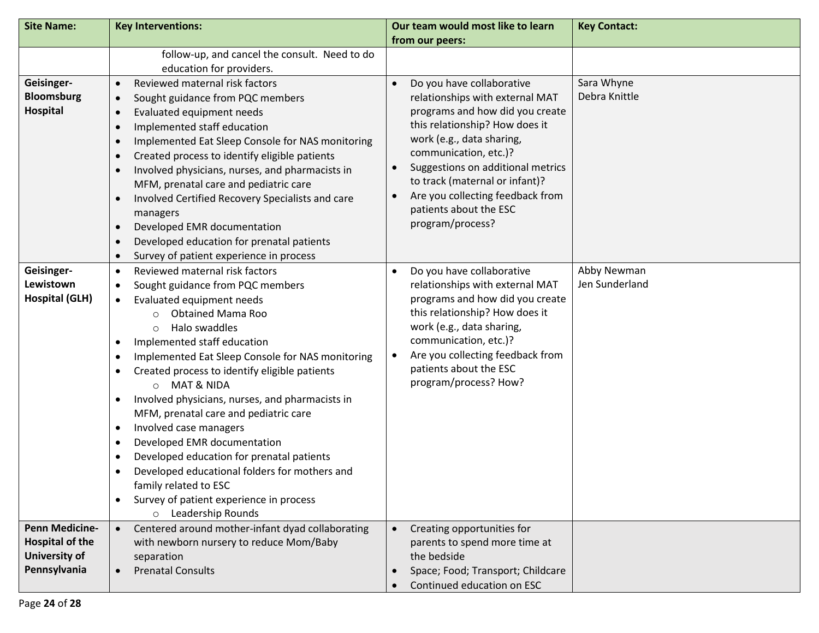| <b>Site Name:</b>                                                                | <b>Key Interventions:</b>                                                                                                                                                                                                                                                                                                                                                                                                                                                                                                                                                                                                                                                                                                                                                                                                                            | Our team would most like to learn<br>from our peers:                                                                                                                                                                                                                                                                                                                                    | <b>Key Contact:</b>           |
|----------------------------------------------------------------------------------|------------------------------------------------------------------------------------------------------------------------------------------------------------------------------------------------------------------------------------------------------------------------------------------------------------------------------------------------------------------------------------------------------------------------------------------------------------------------------------------------------------------------------------------------------------------------------------------------------------------------------------------------------------------------------------------------------------------------------------------------------------------------------------------------------------------------------------------------------|-----------------------------------------------------------------------------------------------------------------------------------------------------------------------------------------------------------------------------------------------------------------------------------------------------------------------------------------------------------------------------------------|-------------------------------|
|                                                                                  | follow-up, and cancel the consult. Need to do<br>education for providers.                                                                                                                                                                                                                                                                                                                                                                                                                                                                                                                                                                                                                                                                                                                                                                            |                                                                                                                                                                                                                                                                                                                                                                                         |                               |
| Geisinger-<br><b>Bloomsburg</b><br>Hospital                                      | Reviewed maternal risk factors<br>$\bullet$<br>Sought guidance from PQC members<br>$\bullet$<br>Evaluated equipment needs<br>$\bullet$<br>Implemented staff education<br>$\bullet$<br>Implemented Eat Sleep Console for NAS monitoring<br>$\bullet$<br>Created process to identify eligible patients<br>$\bullet$<br>Involved physicians, nurses, and pharmacists in<br>$\bullet$<br>MFM, prenatal care and pediatric care<br>Involved Certified Recovery Specialists and care<br>$\bullet$<br>managers<br>Developed EMR documentation<br>$\bullet$<br>Developed education for prenatal patients<br>$\bullet$<br>Survey of patient experience in process<br>$\bullet$                                                                                                                                                                                | Do you have collaborative<br>$\bullet$<br>relationships with external MAT<br>programs and how did you create<br>this relationship? How does it<br>work (e.g., data sharing,<br>communication, etc.)?<br>Suggestions on additional metrics<br>$\bullet$<br>to track (maternal or infant)?<br>Are you collecting feedback from<br>$\bullet$<br>patients about the ESC<br>program/process? | Sara Whyne<br>Debra Knittle   |
| Geisinger-<br>Lewistown<br><b>Hospital (GLH)</b>                                 | Reviewed maternal risk factors<br>$\bullet$<br>Sought guidance from PQC members<br>$\bullet$<br>Evaluated equipment needs<br>$\bullet$<br><b>Obtained Mama Roo</b><br>$\circ$<br>Halo swaddles<br>$\circ$<br>Implemented staff education<br>$\bullet$<br>Implemented Eat Sleep Console for NAS monitoring<br>$\bullet$<br>Created process to identify eligible patients<br>$\bullet$<br><b>MAT &amp; NIDA</b><br>$\circ$<br>Involved physicians, nurses, and pharmacists in<br>$\bullet$<br>MFM, prenatal care and pediatric care<br>Involved case managers<br>$\bullet$<br>Developed EMR documentation<br>$\bullet$<br>Developed education for prenatal patients<br>$\bullet$<br>Developed educational folders for mothers and<br>$\bullet$<br>family related to ESC<br>Survey of patient experience in process<br>$\bullet$<br>o Leadership Rounds | Do you have collaborative<br>$\bullet$<br>relationships with external MAT<br>programs and how did you create<br>this relationship? How does it<br>work (e.g., data sharing,<br>communication, etc.)?<br>Are you collecting feedback from<br>$\bullet$<br>patients about the ESC<br>program/process? How?                                                                                | Abby Newman<br>Jen Sunderland |
| <b>Penn Medicine-</b><br><b>Hospital of the</b><br>University of<br>Pennsylvania | Centered around mother-infant dyad collaborating<br>$\bullet$<br>with newborn nursery to reduce Mom/Baby<br>separation<br><b>Prenatal Consults</b>                                                                                                                                                                                                                                                                                                                                                                                                                                                                                                                                                                                                                                                                                                   | Creating opportunities for<br>$\bullet$<br>parents to spend more time at<br>the bedside<br>Space; Food; Transport; Childcare<br>Continued education on ESC                                                                                                                                                                                                                              |                               |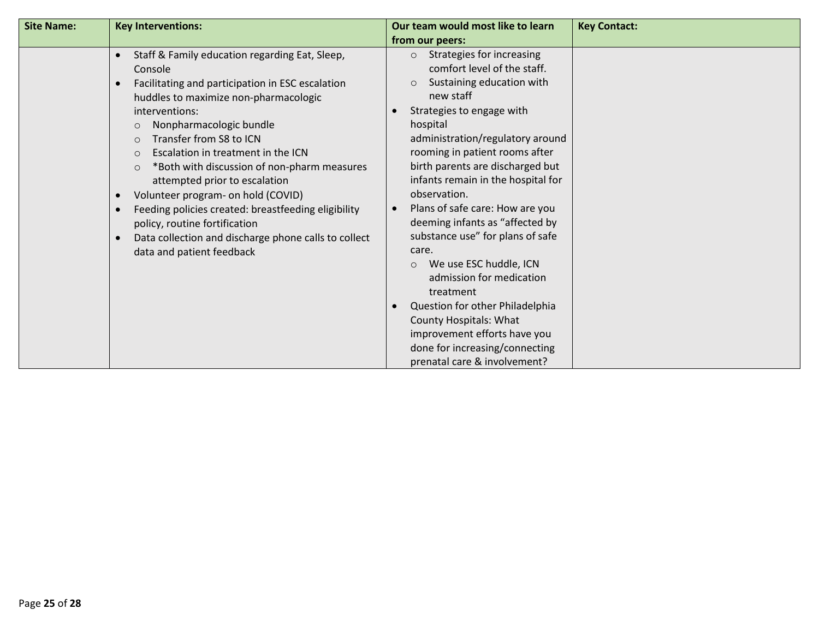| <b>Site Name:</b> | <b>Key Interventions:</b>                                                                                                                                                                                                                                                                                                                                                                                                                                                                                                                                                                                                                     | Our team would most like to learn                                                                                                                                                                                                                                                                                                                                                                                                                                                                                                                                                                                                                                                                        | <b>Key Contact:</b> |
|-------------------|-----------------------------------------------------------------------------------------------------------------------------------------------------------------------------------------------------------------------------------------------------------------------------------------------------------------------------------------------------------------------------------------------------------------------------------------------------------------------------------------------------------------------------------------------------------------------------------------------------------------------------------------------|----------------------------------------------------------------------------------------------------------------------------------------------------------------------------------------------------------------------------------------------------------------------------------------------------------------------------------------------------------------------------------------------------------------------------------------------------------------------------------------------------------------------------------------------------------------------------------------------------------------------------------------------------------------------------------------------------------|---------------------|
|                   |                                                                                                                                                                                                                                                                                                                                                                                                                                                                                                                                                                                                                                               | from our peers:                                                                                                                                                                                                                                                                                                                                                                                                                                                                                                                                                                                                                                                                                          |                     |
|                   | Staff & Family education regarding Eat, Sleep,<br>$\bullet$<br>Console<br>Facilitating and participation in ESC escalation<br>huddles to maximize non-pharmacologic<br>interventions:<br>Nonpharmacologic bundle<br>$\circ$<br>Transfer from S8 to ICN<br>$\circ$<br>Escalation in treatment in the ICN<br>$\circ$<br>*Both with discussion of non-pharm measures<br>$\circ$<br>attempted prior to escalation<br>Volunteer program- on hold (COVID)<br>$\bullet$<br>Feeding policies created: breastfeeding eligibility<br>policy, routine fortification<br>Data collection and discharge phone calls to collect<br>data and patient feedback | Strategies for increasing<br>$\circ$<br>comfort level of the staff.<br>Sustaining education with<br>$\circ$<br>new staff<br>Strategies to engage with<br>hospital<br>administration/regulatory around<br>rooming in patient rooms after<br>birth parents are discharged but<br>infants remain in the hospital for<br>observation.<br>Plans of safe care: How are you<br>deeming infants as "affected by<br>substance use" for plans of safe<br>care.<br>We use ESC huddle, ICN<br>$\circ$<br>admission for medication<br>treatment<br>Question for other Philadelphia<br><b>County Hospitals: What</b><br>improvement efforts have you<br>done for increasing/connecting<br>prenatal care & involvement? |                     |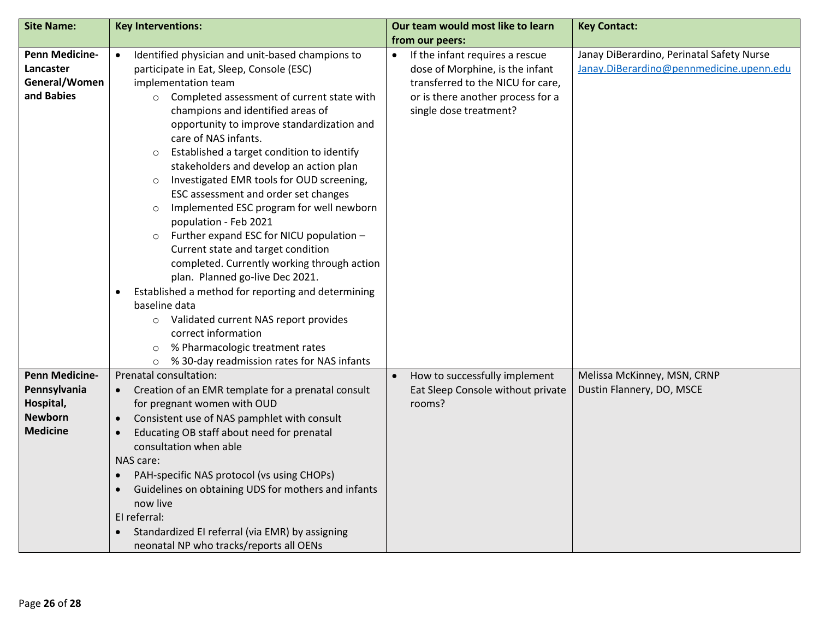| <b>Site Name:</b>                                                                       | <b>Key Interventions:</b>                                                                                                                                                                                                                                                                                                                                                                                                                                                                                                                                                                                                                                                                                                                                                                                                                                                                                                                                                                                                            | Our team would most like to learn                                                                                                                                      | <b>Key Contact:</b>                                                                   |
|-----------------------------------------------------------------------------------------|--------------------------------------------------------------------------------------------------------------------------------------------------------------------------------------------------------------------------------------------------------------------------------------------------------------------------------------------------------------------------------------------------------------------------------------------------------------------------------------------------------------------------------------------------------------------------------------------------------------------------------------------------------------------------------------------------------------------------------------------------------------------------------------------------------------------------------------------------------------------------------------------------------------------------------------------------------------------------------------------------------------------------------------|------------------------------------------------------------------------------------------------------------------------------------------------------------------------|---------------------------------------------------------------------------------------|
|                                                                                         |                                                                                                                                                                                                                                                                                                                                                                                                                                                                                                                                                                                                                                                                                                                                                                                                                                                                                                                                                                                                                                      | from our peers:                                                                                                                                                        |                                                                                       |
| <b>Penn Medicine-</b><br>Lancaster<br>General/Women<br>and Babies                       | Identified physician and unit-based champions to<br>$\bullet$<br>participate in Eat, Sleep, Console (ESC)<br>implementation team<br>o Completed assessment of current state with<br>champions and identified areas of<br>opportunity to improve standardization and<br>care of NAS infants.<br>Established a target condition to identify<br>$\circ$<br>stakeholders and develop an action plan<br>Investigated EMR tools for OUD screening,<br>$\circ$<br>ESC assessment and order set changes<br>Implemented ESC program for well newborn<br>$\circ$<br>population - Feb 2021<br>Further expand ESC for NICU population -<br>$\circ$<br>Current state and target condition<br>completed. Currently working through action<br>plan. Planned go-live Dec 2021.<br>Established a method for reporting and determining<br>$\bullet$<br>baseline data<br>Validated current NAS report provides<br>$\circ$<br>correct information<br>% Pharmacologic treatment rates<br>$\circ$<br>% 30-day readmission rates for NAS infants<br>$\circ$ | If the infant requires a rescue<br>dose of Morphine, is the infant<br>transferred to the NICU for care,<br>or is there another process for a<br>single dose treatment? | Janay DiBerardino, Perinatal Safety Nurse<br>Janay.DiBerardino@pennmedicine.upenn.edu |
| <b>Penn Medicine-</b><br>Pennsylvania<br>Hospital,<br><b>Newborn</b><br><b>Medicine</b> | Prenatal consultation:<br>Creation of an EMR template for a prenatal consult<br>for pregnant women with OUD<br>Consistent use of NAS pamphlet with consult<br>$\bullet$<br>Educating OB staff about need for prenatal<br>$\bullet$<br>consultation when able<br>NAS care:<br>PAH-specific NAS protocol (vs using CHOPs)<br>$\bullet$<br>Guidelines on obtaining UDS for mothers and infants<br>$\bullet$<br>now live<br>El referral:<br>Standardized EI referral (via EMR) by assigning<br>neonatal NP who tracks/reports all OENs                                                                                                                                                                                                                                                                                                                                                                                                                                                                                                   | How to successfully implement<br>Eat Sleep Console without private<br>rooms?                                                                                           | Melissa McKinney, MSN, CRNP<br>Dustin Flannery, DO, MSCE                              |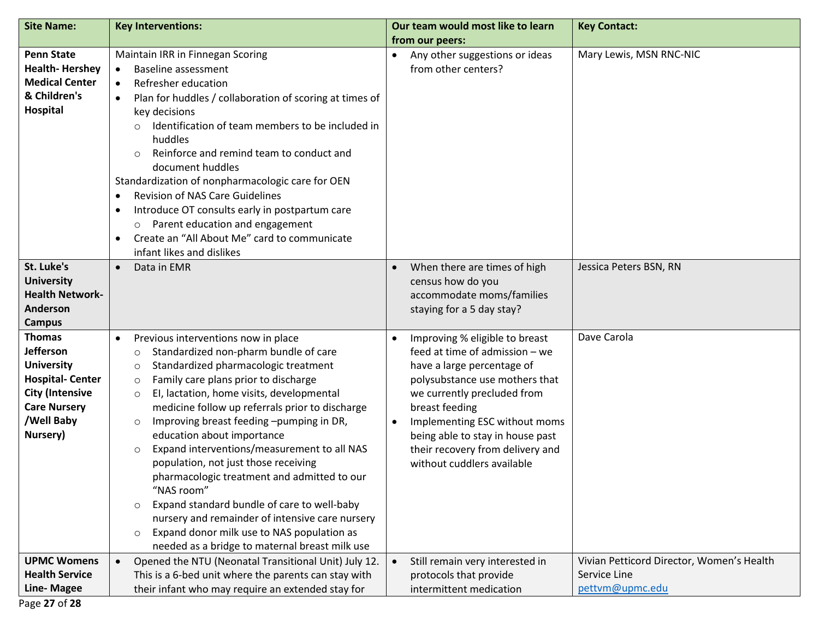| <b>Site Name:</b>                                                                                                                                    | <b>Key Interventions:</b>                                                                                                                                                                                                                                                                                                                                                                                                                                                                                                                                                                                                                                                                                                                                                                         | Our team would most like to learn                                                                                                                                                                                                                                                                                                                  | <b>Key Contact:</b>                                                          |
|------------------------------------------------------------------------------------------------------------------------------------------------------|---------------------------------------------------------------------------------------------------------------------------------------------------------------------------------------------------------------------------------------------------------------------------------------------------------------------------------------------------------------------------------------------------------------------------------------------------------------------------------------------------------------------------------------------------------------------------------------------------------------------------------------------------------------------------------------------------------------------------------------------------------------------------------------------------|----------------------------------------------------------------------------------------------------------------------------------------------------------------------------------------------------------------------------------------------------------------------------------------------------------------------------------------------------|------------------------------------------------------------------------------|
|                                                                                                                                                      |                                                                                                                                                                                                                                                                                                                                                                                                                                                                                                                                                                                                                                                                                                                                                                                                   | from our peers:                                                                                                                                                                                                                                                                                                                                    |                                                                              |
| <b>Penn State</b><br><b>Health-Hershey</b><br><b>Medical Center</b><br>& Children's<br>Hospital                                                      | Maintain IRR in Finnegan Scoring<br><b>Baseline assessment</b><br>$\bullet$<br>Refresher education<br>$\bullet$<br>Plan for huddles / collaboration of scoring at times of<br>$\bullet$<br>key decisions<br>Identification of team members to be included in<br>$\circ$<br>huddles<br>Reinforce and remind team to conduct and<br>$\circ$<br>document huddles<br>Standardization of nonpharmacologic care for OEN<br><b>Revision of NAS Care Guidelines</b><br>$\bullet$<br>Introduce OT consults early in postpartum care<br>$\bullet$<br>Parent education and engagement<br>$\circ$<br>Create an "All About Me" card to communicate<br>$\bullet$<br>infant likes and dislikes                                                                                                                   | Any other suggestions or ideas<br>$\bullet$<br>from other centers?                                                                                                                                                                                                                                                                                 | Mary Lewis, MSN RNC-NIC                                                      |
| St. Luke's<br><b>University</b><br><b>Health Network-</b><br>Anderson<br><b>Campus</b>                                                               | Data in EMR<br>$\bullet$                                                                                                                                                                                                                                                                                                                                                                                                                                                                                                                                                                                                                                                                                                                                                                          | When there are times of high<br>census how do you<br>accommodate moms/families<br>staying for a 5 day stay?                                                                                                                                                                                                                                        | Jessica Peters BSN, RN                                                       |
| <b>Thomas</b><br>Jefferson<br><b>University</b><br><b>Hospital-Center</b><br><b>City (Intensive</b><br><b>Care Nursery</b><br>/Well Baby<br>Nursery) | Previous interventions now in place<br>$\bullet$<br>Standardized non-pharm bundle of care<br>$\circ$<br>Standardized pharmacologic treatment<br>$\circ$<br>Family care plans prior to discharge<br>$\circ$<br>EI, lactation, home visits, developmental<br>$\circ$<br>medicine follow up referrals prior to discharge<br>Improving breast feeding -pumping in DR,<br>$\circ$<br>education about importance<br>Expand interventions/measurement to all NAS<br>$\circ$<br>population, not just those receiving<br>pharmacologic treatment and admitted to our<br>"NAS room"<br>Expand standard bundle of care to well-baby<br>$\circ$<br>nursery and remainder of intensive care nursery<br>Expand donor milk use to NAS population as<br>$\circ$<br>needed as a bridge to maternal breast milk use | Improving % eligible to breast<br>$\bullet$<br>feed at time of admission - we<br>have a large percentage of<br>polysubstance use mothers that<br>we currently precluded from<br>breast feeding<br>Implementing ESC without moms<br>$\bullet$<br>being able to stay in house past<br>their recovery from delivery and<br>without cuddlers available | Dave Carola                                                                  |
| <b>UPMC Womens</b><br><b>Health Service</b><br>Line-Magee                                                                                            | Opened the NTU (Neonatal Transitional Unit) July 12.<br>This is a 6-bed unit where the parents can stay with<br>their infant who may require an extended stay for                                                                                                                                                                                                                                                                                                                                                                                                                                                                                                                                                                                                                                 | Still remain very interested in<br>$\bullet$<br>protocols that provide<br>intermittent medication                                                                                                                                                                                                                                                  | Vivian Petticord Director, Women's Health<br>Service Line<br>pettvm@upmc.edu |